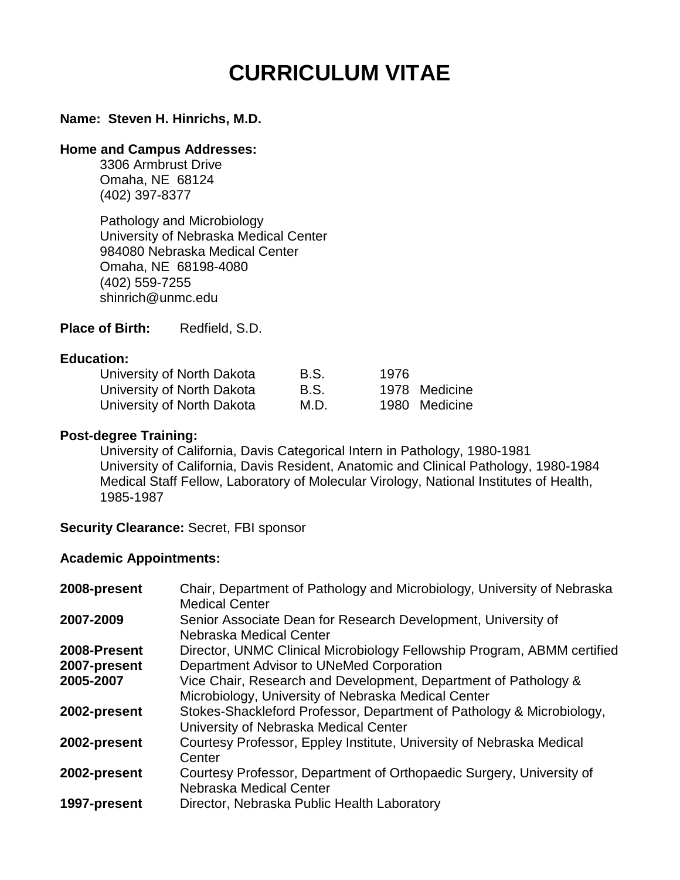# **CURRICULUM VITAE**

#### **Name: Steven H. Hinrichs, M.D.**

#### **Home and Campus Addresses:**

3306 Armbrust Drive Omaha, NE 68124 (402) 397-8377

Pathology and Microbiology University of Nebraska Medical Center 984080 Nebraska Medical Center Omaha, NE 68198-4080 (402) 559-7255 shinrich@unmc.edu

Place of Birth: Redfield, S.D.

#### **Education:**

| University of North Dakota | B.S. | 1976 |               |
|----------------------------|------|------|---------------|
| University of North Dakota | B.S. |      | 1978 Medicine |
| University of North Dakota | M.D. |      | 1980 Medicine |

#### **Post-degree Training:**

University of California, Davis Categorical Intern in Pathology, 1980-1981 University of California, Davis Resident, Anatomic and Clinical Pathology, 1980-1984 Medical Staff Fellow, Laboratory of Molecular Virology, National Institutes of Health, 1985-1987

**Security Clearance:** Secret, FBI sponsor

#### **Academic Appointments:**

| 2008-present | Chair, Department of Pathology and Microbiology, University of Nebraska<br><b>Medical Center</b>                       |
|--------------|------------------------------------------------------------------------------------------------------------------------|
| 2007-2009    | Senior Associate Dean for Research Development, University of<br>Nebraska Medical Center                               |
| 2008-Present | Director, UNMC Clinical Microbiology Fellowship Program, ABMM certified                                                |
| 2007-present | Department Advisor to UNeMed Corporation                                                                               |
| 2005-2007    | Vice Chair, Research and Development, Department of Pathology &<br>Microbiology, University of Nebraska Medical Center |
| 2002-present | Stokes-Shackleford Professor, Department of Pathology & Microbiology,<br>University of Nebraska Medical Center         |
| 2002-present | Courtesy Professor, Eppley Institute, University of Nebraska Medical<br>Center                                         |
| 2002-present | Courtesy Professor, Department of Orthopaedic Surgery, University of<br>Nebraska Medical Center                        |
| 1997-present | Director, Nebraska Public Health Laboratory                                                                            |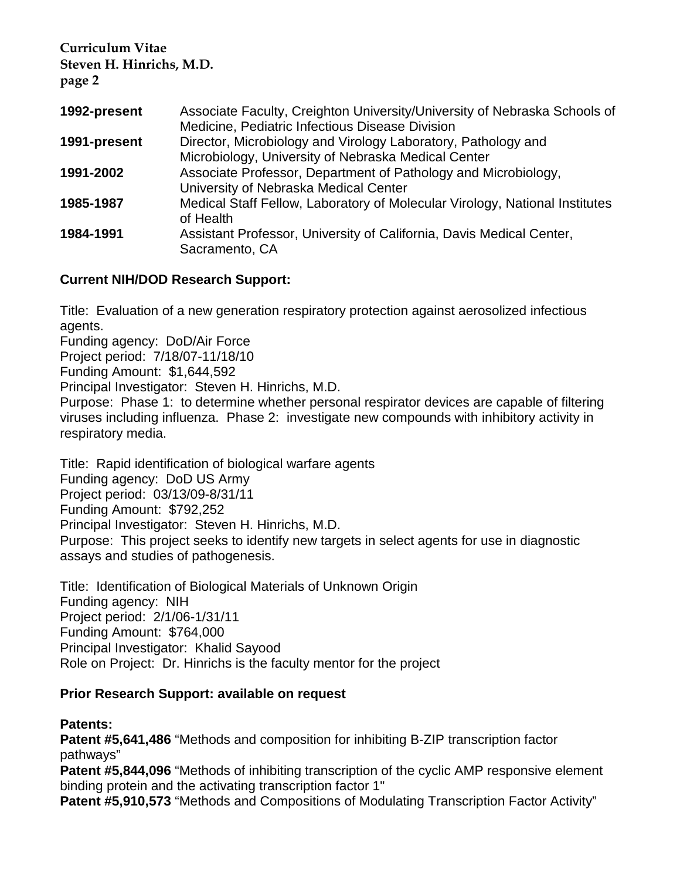| 1992-present | Associate Faculty, Creighton University/University of Nebraska Schools of<br>Medicine, Pediatric Infectious Disease Division |
|--------------|------------------------------------------------------------------------------------------------------------------------------|
| 1991-present | Director, Microbiology and Virology Laboratory, Pathology and<br>Microbiology, University of Nebraska Medical Center         |
| 1991-2002    | Associate Professor, Department of Pathology and Microbiology,<br>University of Nebraska Medical Center                      |
| 1985-1987    | Medical Staff Fellow, Laboratory of Molecular Virology, National Institutes<br>of Health                                     |
| 1984-1991    | Assistant Professor, University of California, Davis Medical Center,<br>Sacramento, CA                                       |

#### **Current NIH/DOD Research Support:**

Title: Evaluation of a new generation respiratory protection against aerosolized infectious agents.

Funding agency: DoD/Air Force

Project period: 7/18/07-11/18/10

Funding Amount: \$1,644,592

Principal Investigator: Steven H. Hinrichs, M.D.

Purpose: Phase 1: to determine whether personal respirator devices are capable of filtering viruses including influenza. Phase 2: investigate new compounds with inhibitory activity in respiratory media.

Title: Rapid identification of biological warfare agents Funding agency: DoD US Army Project period: 03/13/09-8/31/11 Funding Amount: \$792,252 Principal Investigator: Steven H. Hinrichs, M.D. Purpose: This project seeks to identify new targets in select agents for use in diagnostic assays and studies of pathogenesis.

Title: Identification of Biological Materials of Unknown Origin Funding agency: NIH Project period: 2/1/06-1/31/11 Funding Amount: \$764,000 Principal Investigator: Khalid Sayood Role on Project: Dr. Hinrichs is the faculty mentor for the project

#### **Prior Research Support: available on request**

#### **Patents:**

**Patent #5,641,486** "Methods and composition for inhibiting B-ZIP transcription factor pathways"

**Patent #5,844,096** "Methods of inhibiting transcription of the cyclic AMP responsive element binding protein and the activating transcription factor 1"

**Patent #5,910,573** "Methods and Compositions of Modulating Transcription Factor Activity"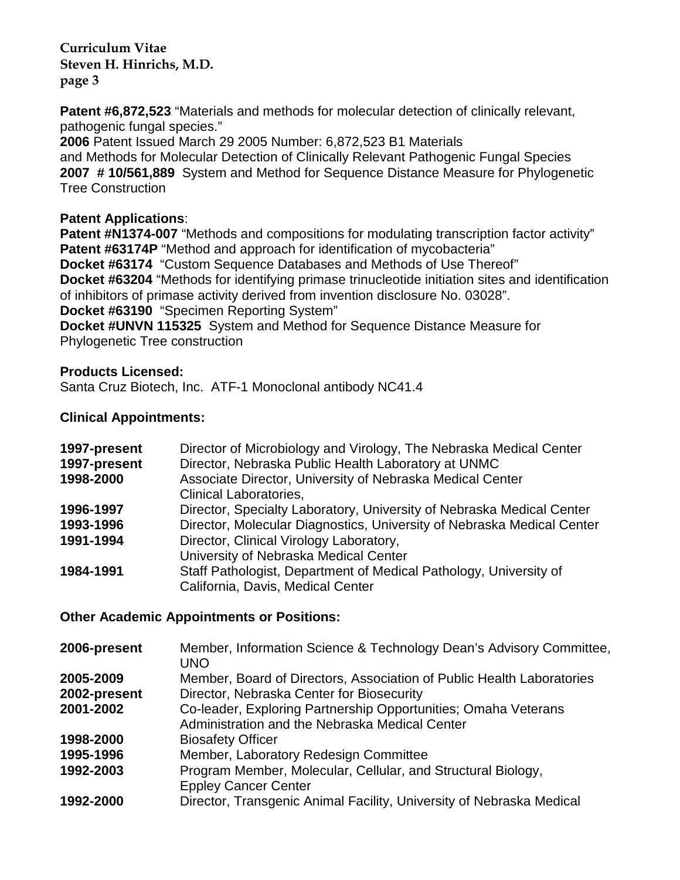**Patent #6,872,523** "Materials and methods for molecular detection of clinically relevant, pathogenic fungal species."

**2006** Patent Issued March 29 2005 Number: 6,872,523 B1 Materials and Methods for Molecular Detection of Clinically Relevant Pathogenic Fungal Species **2007 # 10/561,889** System and Method for Sequence Distance Measure for Phylogenetic Tree Construction

#### **Patent Applications**:

**Patent #N1374-007** "Methods and compositions for modulating transcription factor activity" **Patent #63174P** "Method and approach for identification of mycobacteria" **Docket #63174** "Custom Sequence Databases and Methods of Use Thereof" **Docket #63204** "Methods for identifying primase trinucleotide initiation sites and identification of inhibitors of primase activity derived from invention disclosure No. 03028". **Docket #63190** "Specimen Reporting System"

**Docket #UNVN 115325** System and Method for Sequence Distance Measure for Phylogenetic Tree construction

# **Products Licensed:**

Santa Cruz Biotech, Inc. ATF-1 Monoclonal antibody NC41.4

# **Clinical Appointments:**

| 1997-present<br>1997-present<br>1998-2000 | Director of Microbiology and Virology, The Nebraska Medical Center<br>Director, Nebraska Public Health Laboratory at UNMC<br>Associate Director, University of Nebraska Medical Center<br><b>Clinical Laboratories,</b> |
|-------------------------------------------|-------------------------------------------------------------------------------------------------------------------------------------------------------------------------------------------------------------------------|
| 1996-1997                                 | Director, Specialty Laboratory, University of Nebraska Medical Center                                                                                                                                                   |
| 1993-1996                                 | Director, Molecular Diagnostics, University of Nebraska Medical Center                                                                                                                                                  |
| 1991-1994                                 | Director, Clinical Virology Laboratory,                                                                                                                                                                                 |
|                                           | University of Nebraska Medical Center                                                                                                                                                                                   |
| 1984-1991                                 | Staff Pathologist, Department of Medical Pathology, University of                                                                                                                                                       |
|                                           | California, Davis, Medical Center                                                                                                                                                                                       |

#### **Other Academic Appointments or Positions:**

| 2006-present | Member, Information Science & Technology Dean's Advisory Committee,<br><b>UNO</b> |
|--------------|-----------------------------------------------------------------------------------|
| 2005-2009    | Member, Board of Directors, Association of Public Health Laboratories             |
| 2002-present | Director, Nebraska Center for Biosecurity                                         |
| 2001-2002    | Co-leader, Exploring Partnership Opportunities; Omaha Veterans                    |
|              | Administration and the Nebraska Medical Center                                    |
| 1998-2000    | <b>Biosafety Officer</b>                                                          |
| 1995-1996    | Member, Laboratory Redesign Committee                                             |
| 1992-2003    | Program Member, Molecular, Cellular, and Structural Biology,                      |
|              | <b>Eppley Cancer Center</b>                                                       |
| 1992-2000    | Director, Transgenic Animal Facility, University of Nebraska Medical              |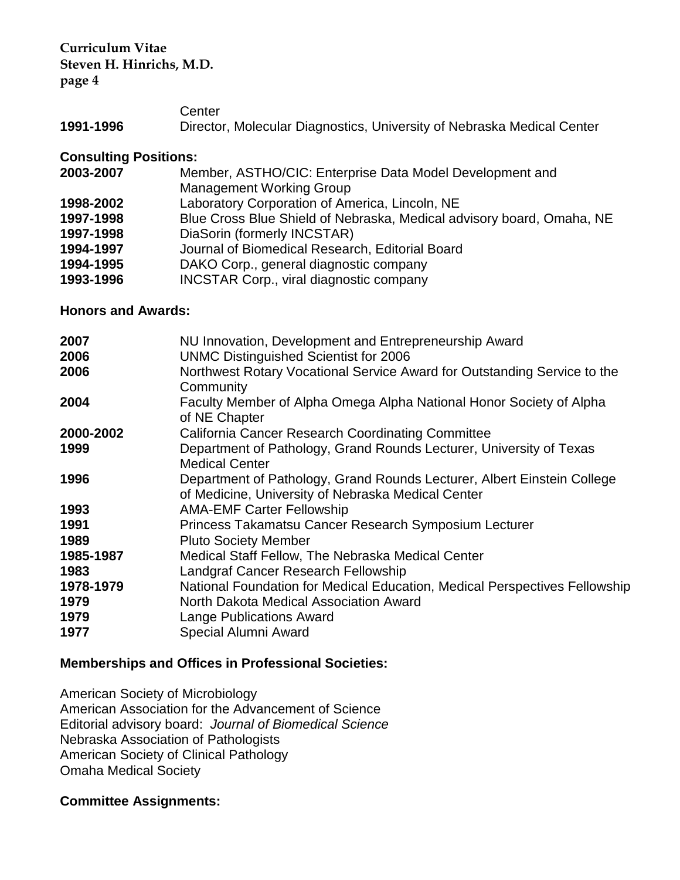**Center** 

**1991-1996** Director, Molecular Diagnostics, University of Nebraska Medical Center

#### **Consulting Positions:**

| 2003-2007 | Member, ASTHO/CIC: Enterprise Data Model Development and              |
|-----------|-----------------------------------------------------------------------|
|           | <b>Management Working Group</b>                                       |
| 1998-2002 | Laboratory Corporation of America, Lincoln, NE                        |
| 1997-1998 | Blue Cross Blue Shield of Nebraska, Medical advisory board, Omaha, NE |
| 1997-1998 | DiaSorin (formerly INCSTAR)                                           |
| 1994-1997 | Journal of Biomedical Research, Editorial Board                       |
| 1994-1995 | DAKO Corp., general diagnostic company                                |
| 1993-1996 | <b>INCSTAR Corp., viral diagnostic company</b>                        |

**Honors and Awards:**

| 2007<br>2006              | NU Innovation, Development and Entrepreneurship Award<br><b>UNMC Distinguished Scientist for 2006</b>                                                   |
|---------------------------|---------------------------------------------------------------------------------------------------------------------------------------------------------|
| 2006                      | Northwest Rotary Vocational Service Award for Outstanding Service to the<br>Community                                                                   |
| 2004                      | Faculty Member of Alpha Omega Alpha National Honor Society of Alpha<br>of NE Chapter                                                                    |
| 2000-2002                 | <b>California Cancer Research Coordinating Committee</b>                                                                                                |
| 1999                      | Department of Pathology, Grand Rounds Lecturer, University of Texas<br><b>Medical Center</b>                                                            |
| 1996                      | Department of Pathology, Grand Rounds Lecturer, Albert Einstein College<br>of Medicine, University of Nebraska Medical Center                           |
| 1993                      | <b>AMA-EMF Carter Fellowship</b>                                                                                                                        |
| 1991                      | Princess Takamatsu Cancer Research Symposium Lecturer                                                                                                   |
| 1989                      | <b>Pluto Society Member</b>                                                                                                                             |
| 1985-1987                 | Medical Staff Fellow, The Nebraska Medical Center                                                                                                       |
| 1983                      | Landgraf Cancer Research Fellowship                                                                                                                     |
| 1978-1979<br>1979<br>1979 | National Foundation for Medical Education, Medical Perspectives Fellowship<br>North Dakota Medical Association Award<br><b>Lange Publications Award</b> |
| 1977                      | Special Alumni Award                                                                                                                                    |

# **Memberships and Offices in Professional Societies:**

American Society of Microbiology American Association for the Advancement of Science Editorial advisory board: *Journal of Biomedical Science* Nebraska Association of Pathologists American Society of Clinical Pathology Omaha Medical Society

#### **Committee Assignments:**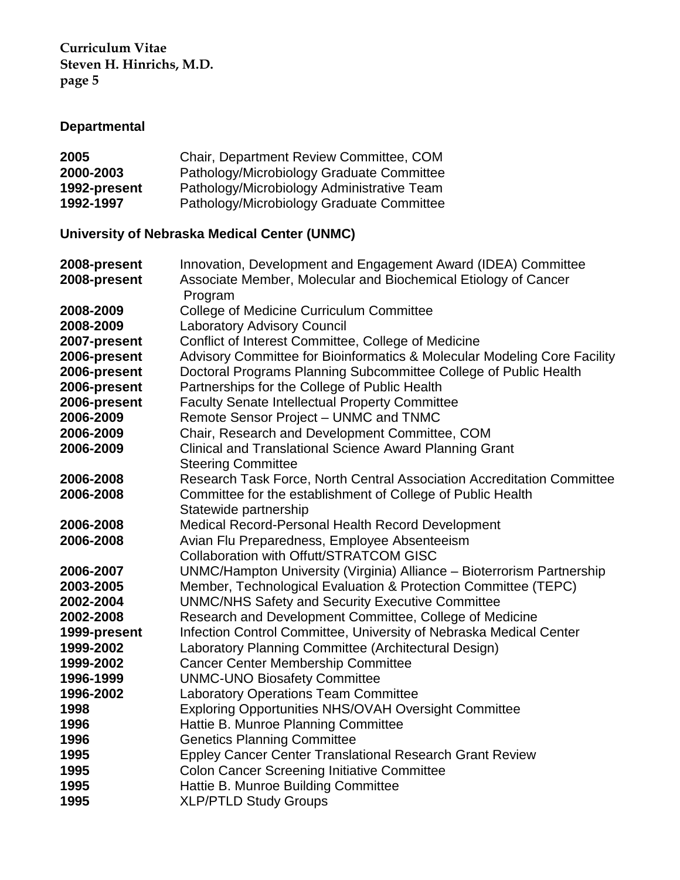# **Departmental**

| 2005         | Chair, Department Review Committee, COM    |
|--------------|--------------------------------------------|
| 2000-2003    | Pathology/Microbiology Graduate Committee  |
| 1992-present | Pathology/Microbiology Administrative Team |
| 1992-1997    | Pathology/Microbiology Graduate Committee  |

# **University of Nebraska Medical Center (UNMC)**

| 2008-present | Innovation, Development and Engagement Award (IDEA) Committee            |
|--------------|--------------------------------------------------------------------------|
| 2008-present | Associate Member, Molecular and Biochemical Etiology of Cancer           |
|              | Program                                                                  |
| 2008-2009    | <b>College of Medicine Curriculum Committee</b>                          |
| 2008-2009    | <b>Laboratory Advisory Council</b>                                       |
| 2007-present | Conflict of Interest Committee, College of Medicine                      |
| 2006-present | Advisory Committee for Bioinformatics & Molecular Modeling Core Facility |
| 2006-present | Doctoral Programs Planning Subcommittee College of Public Health         |
| 2006-present | Partnerships for the College of Public Health                            |
| 2006-present | <b>Faculty Senate Intellectual Property Committee</b>                    |
| 2006-2009    | Remote Sensor Project - UNMC and TNMC                                    |
| 2006-2009    | Chair, Research and Development Committee, COM                           |
| 2006-2009    | <b>Clinical and Translational Science Award Planning Grant</b>           |
|              | <b>Steering Committee</b>                                                |
| 2006-2008    | Research Task Force, North Central Association Accreditation Committee   |
| 2006-2008    | Committee for the establishment of College of Public Health              |
|              | Statewide partnership                                                    |
| 2006-2008    | Medical Record-Personal Health Record Development                        |
| 2006-2008    | Avian Flu Preparedness, Employee Absenteeism                             |
|              | <b>Collaboration with Offutt/STRATCOM GISC</b>                           |
| 2006-2007    | UNMC/Hampton University (Virginia) Alliance - Bioterrorism Partnership   |
| 2003-2005    | Member, Technological Evaluation & Protection Committee (TEPC)           |
| 2002-2004    | <b>UNMC/NHS Safety and Security Executive Committee</b>                  |
| 2002-2008    | Research and Development Committee, College of Medicine                  |
| 1999-present | Infection Control Committee, University of Nebraska Medical Center       |
| 1999-2002    | Laboratory Planning Committee (Architectural Design)                     |
| 1999-2002    | <b>Cancer Center Membership Committee</b>                                |
| 1996-1999    | <b>UNMC-UNO Biosafety Committee</b>                                      |
| 1996-2002    | <b>Laboratory Operations Team Committee</b>                              |
| 1998         | <b>Exploring Opportunities NHS/OVAH Oversight Committee</b>              |
| 1996         | Hattie B. Munroe Planning Committee                                      |
| 1996         | <b>Genetics Planning Committee</b>                                       |
| 1995         | <b>Eppley Cancer Center Translational Research Grant Review</b>          |
| 1995         | <b>Colon Cancer Screening Initiative Committee</b>                       |
| 1995         | Hattie B. Munroe Building Committee                                      |
| 1995         | <b>XLP/PTLD Study Groups</b>                                             |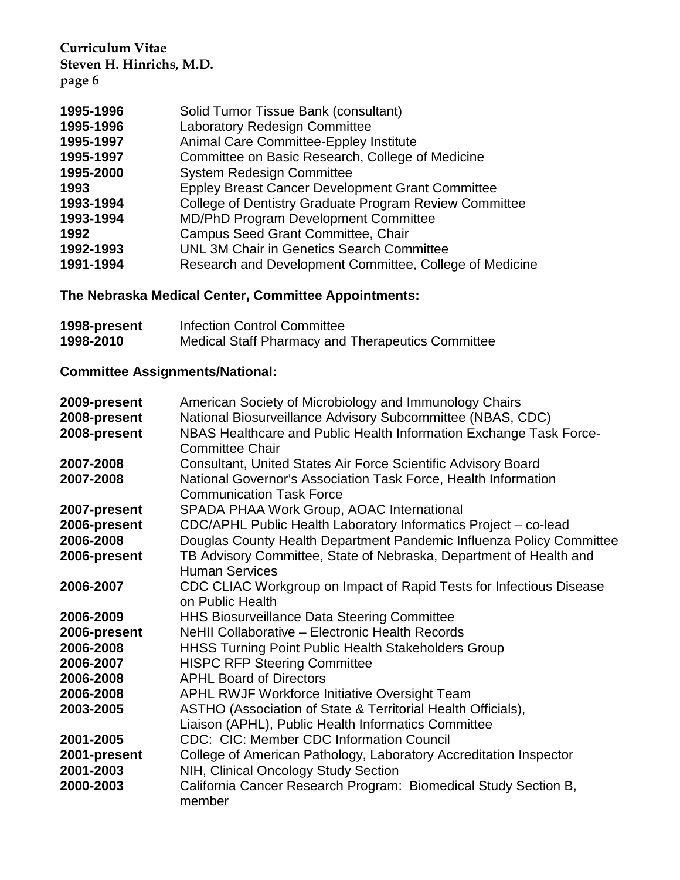| 1995-1996 | Solid Tumor Tissue Bank (consultant)                    |
|-----------|---------------------------------------------------------|
| 1995-1996 | <b>Laboratory Redesign Committee</b>                    |
| 1995-1997 | Animal Care Committee-Eppley Institute                  |
| 1995-1997 | Committee on Basic Research, College of Medicine        |
| 1995-2000 | <b>System Redesign Committee</b>                        |
| 1993      | <b>Eppley Breast Cancer Development Grant Committee</b> |
| 1993-1994 | College of Dentistry Graduate Program Review Committee  |
| 1993-1994 | <b>MD/PhD Program Development Committee</b>             |
| 1992      | Campus Seed Grant Committee, Chair                      |
| 1992-1993 | UNL 3M Chair in Genetics Search Committee               |
| 1991-1994 | Research and Development Committee, College of Medicine |

# **The Nebraska Medical Center, Committee Appointments:**

| 1998-present | Infection Control Committee                       |
|--------------|---------------------------------------------------|
| 1998-2010    | Medical Staff Pharmacy and Therapeutics Committee |

# **Committee Assignments/National:**

| 2009-present | American Society of Microbiology and Immunology Chairs                    |
|--------------|---------------------------------------------------------------------------|
| 2008-present | National Biosurveillance Advisory Subcommittee (NBAS, CDC)                |
| 2008-present | NBAS Healthcare and Public Health Information Exchange Task Force-        |
|              | <b>Committee Chair</b>                                                    |
| 2007-2008    | Consultant, United States Air Force Scientific Advisory Board             |
| 2007-2008    | National Governor's Association Task Force, Health Information            |
|              | <b>Communication Task Force</b>                                           |
| 2007-present | SPADA PHAA Work Group, AOAC International                                 |
| 2006-present | CDC/APHL Public Health Laboratory Informatics Project - co-lead           |
| 2006-2008    | Douglas County Health Department Pandemic Influenza Policy Committee      |
| 2006-present | TB Advisory Committee, State of Nebraska, Department of Health and        |
|              | <b>Human Services</b>                                                     |
| 2006-2007    | CDC CLIAC Workgroup on Impact of Rapid Tests for Infectious Disease       |
|              | on Public Health                                                          |
| 2006-2009    | <b>HHS Biosurveillance Data Steering Committee</b>                        |
| 2006-present | NeHII Collaborative - Electronic Health Records                           |
| 2006-2008    | <b>HHSS Turning Point Public Health Stakeholders Group</b>                |
| 2006-2007    | <b>HISPC RFP Steering Committee</b>                                       |
| 2006-2008    | <b>APHL Board of Directors</b>                                            |
| 2006-2008    | APHL RWJF Workforce Initiative Oversight Team                             |
| 2003-2005    | ASTHO (Association of State & Territorial Health Officials),              |
|              | Liaison (APHL), Public Health Informatics Committee                       |
| 2001-2005    | <b>CDC: CIC: Member CDC Information Council</b>                           |
| 2001-present | College of American Pathology, Laboratory Accreditation Inspector         |
| 2001-2003    | NIH, Clinical Oncology Study Section                                      |
| 2000-2003    | California Cancer Research Program: Biomedical Study Section B,<br>member |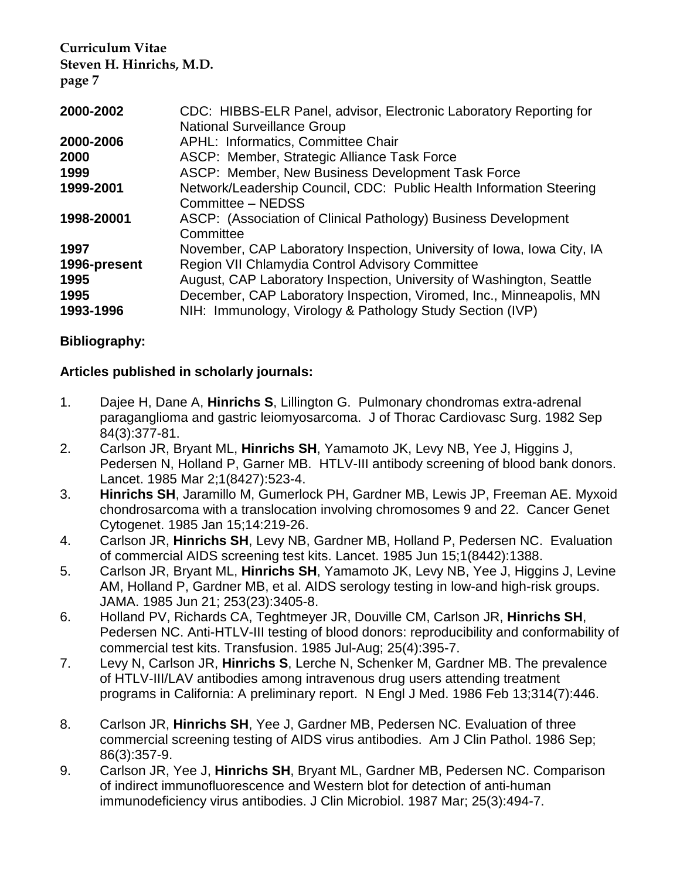| 2000-2002    | CDC: HIBBS-ELR Panel, advisor, Electronic Laboratory Reporting for<br><b>National Surveillance Group</b> |
|--------------|----------------------------------------------------------------------------------------------------------|
| 2000-2006    | APHL: Informatics, Committee Chair                                                                       |
| 2000         | ASCP: Member, Strategic Alliance Task Force                                                              |
| 1999         | ASCP: Member, New Business Development Task Force                                                        |
| 1999-2001    | Network/Leadership Council, CDC: Public Health Information Steering<br>Committee - NEDSS                 |
| 1998-20001   | ASCP: (Association of Clinical Pathology) Business Development<br>Committee                              |
| 1997         | November, CAP Laboratory Inspection, University of Iowa, Iowa City, IA                                   |
| 1996-present | Region VII Chlamydia Control Advisory Committee                                                          |
| 1995         | August, CAP Laboratory Inspection, University of Washington, Seattle                                     |
| 1995         | December, CAP Laboratory Inspection, Viromed, Inc., Minneapolis, MN                                      |
| 1993-1996    | NIH: Immunology, Virology & Pathology Study Section (IVP)                                                |

#### **Bibliography:**

#### **Articles published in scholarly journals:**

- 1. Dajee H, Dane A, **Hinrichs S**, Lillington G. Pulmonary chondromas extra-adrenal paraganglioma and gastric leiomyosarcoma. J of Thorac Cardiovasc Surg. 1982 Sep 84(3):377-81.
- 2. Carlson JR, Bryant ML, **Hinrichs SH**, Yamamoto JK, Levy NB, Yee J, Higgins J, Pedersen N, Holland P, Garner MB. HTLV-III antibody screening of blood bank donors. Lancet. 1985 Mar 2;1(8427):523-4.
- 3. **Hinrichs SH**, Jaramillo M, Gumerlock PH, Gardner MB, Lewis JP, Freeman AE. Myxoid chondrosarcoma with a translocation involving chromosomes 9 and 22. Cancer Genet Cytogenet. 1985 Jan 15;14:219-26.
- 4. Carlson JR, **Hinrichs SH**, Levy NB, Gardner MB, Holland P, Pedersen NC. Evaluation of commercial AIDS screening test kits. Lancet. 1985 Jun 15;1(8442):1388.
- 5. Carlson JR, Bryant ML, **Hinrichs SH**, Yamamoto JK, Levy NB, Yee J, Higgins J, Levine AM, Holland P, Gardner MB, et al. AIDS serology testing in low-and high-risk groups. JAMA. 1985 Jun 21; 253(23):3405-8.
- 6. Holland PV, Richards CA, Teghtmeyer JR, Douville CM, Carlson JR, **Hinrichs SH**, Pedersen NC. Anti-HTLV-III testing of blood donors: reproducibility and conformability of commercial test kits. Transfusion. 1985 Jul-Aug; 25(4):395-7.
- 7. Levy N, Carlson JR, **Hinrichs S**, Lerche N, Schenker M, Gardner MB. The prevalence of HTLV-III/LAV antibodies among intravenous drug users attending treatment programs in California: A preliminary report. N Engl J Med. 1986 Feb 13;314(7):446.
- 8. Carlson JR, **Hinrichs SH**, Yee J, Gardner MB, Pedersen NC. Evaluation of three commercial screening testing of AIDS virus antibodies. Am J Clin Pathol. 1986 Sep; 86(3):357-9.
- 9. Carlson JR, Yee J, **Hinrichs SH**, Bryant ML, Gardner MB, Pedersen NC. Comparison of indirect immunofluorescence and Western blot for detection of anti-human immunodeficiency virus antibodies. J Clin Microbiol. 1987 Mar; 25(3):494-7.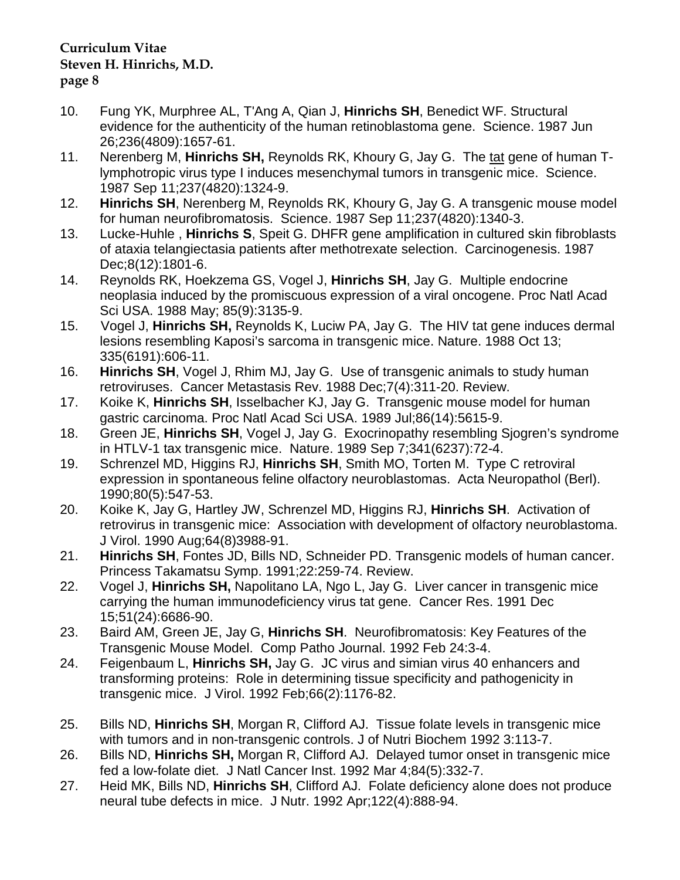- 10. Fung YK, Murphree AL, T'Ang A, Qian J, **Hinrichs SH**, Benedict WF. Structural evidence for the authenticity of the human retinoblastoma gene. Science. 1987 Jun 26;236(4809):1657-61.
- 11. Nerenberg M, **Hinrichs SH,** Reynolds RK, Khoury G, Jay G. The tat gene of human Tlymphotropic virus type I induces mesenchymal tumors in transgenic mice. Science. 1987 Sep 11;237(4820):1324-9.
- 12. **Hinrichs SH**, Nerenberg M, Reynolds RK, Khoury G, Jay G. A transgenic mouse model for human neurofibromatosis. Science. 1987 Sep 11;237(4820):1340-3.
- 13. Lucke-Huhle , **Hinrichs S**, Speit G. DHFR gene amplification in cultured skin fibroblasts of ataxia telangiectasia patients after methotrexate selection. Carcinogenesis. 1987 Dec;8(12):1801-6.
- 14. Reynolds RK, Hoekzema GS, Vogel J, **Hinrichs SH**, Jay G. Multiple endocrine neoplasia induced by the promiscuous expression of a viral oncogene. Proc Natl Acad Sci USA. 1988 May; 85(9):3135-9.
- 15. Vogel J, **Hinrichs SH,** Reynolds K, Luciw PA, Jay G. The HIV tat gene induces dermal lesions resembling Kaposi's sarcoma in transgenic mice. Nature. 1988 Oct 13; 335(6191):606-11.
- 16. **Hinrichs SH**, Vogel J, Rhim MJ, Jay G. Use of transgenic animals to study human retroviruses. Cancer Metastasis Rev. 1988 Dec;7(4):311-20. Review.
- 17. Koike K, **Hinrichs SH**, Isselbacher KJ, Jay G. Transgenic mouse model for human gastric carcinoma. Proc Natl Acad Sci USA. 1989 Jul;86(14):5615-9.
- 18. Green JE, **Hinrichs SH**, Vogel J, Jay G. Exocrinopathy resembling Sjogren's syndrome in HTLV-1 tax transgenic mice. Nature. 1989 Sep 7;341(6237):72-4.
- 19. Schrenzel MD, Higgins RJ, **Hinrichs SH**, Smith MO, Torten M. Type C retroviral expression in spontaneous feline olfactory neuroblastomas. Acta Neuropathol (Berl). 1990;80(5):547-53.
- 20. Koike K, Jay G, Hartley JW, Schrenzel MD, Higgins RJ, **Hinrichs SH**. Activation of retrovirus in transgenic mice: Association with development of olfactory neuroblastoma. J Virol. 1990 Aug;64(8)3988-91.
- 21. **Hinrichs SH**, Fontes JD, Bills ND, Schneider PD. Transgenic models of human cancer. Princess Takamatsu Symp. 1991;22:259-74. Review.
- 22. Vogel J, **Hinrichs SH,** Napolitano LA, Ngo L, Jay G. Liver cancer in transgenic mice carrying the human immunodeficiency virus tat gene. Cancer Res. 1991 Dec 15;51(24):6686-90.
- 23. Baird AM, Green JE, Jay G, **Hinrichs SH**. Neurofibromatosis: Key Features of the Transgenic Mouse Model. Comp Patho Journal. 1992 Feb 24:3-4.
- 24. Feigenbaum L, **Hinrichs SH,** Jay G. JC virus and simian virus 40 enhancers and transforming proteins: Role in determining tissue specificity and pathogenicity in transgenic mice. J Virol. 1992 Feb;66(2):1176-82.
- 25. Bills ND, **Hinrichs SH**, Morgan R, Clifford AJ. Tissue folate levels in transgenic mice with tumors and in non-transgenic controls. J of Nutri Biochem 1992 3:113-7.
- 26. Bills ND, **Hinrichs SH,** Morgan R, Clifford AJ. Delayed tumor onset in transgenic mice fed a low-folate diet. J Natl Cancer Inst. 1992 Mar 4;84(5):332-7.
- 27. Heid MK, Bills ND, **Hinrichs SH**, Clifford AJ. Folate deficiency alone does not produce neural tube defects in mice. J Nutr. 1992 Apr;122(4):888-94.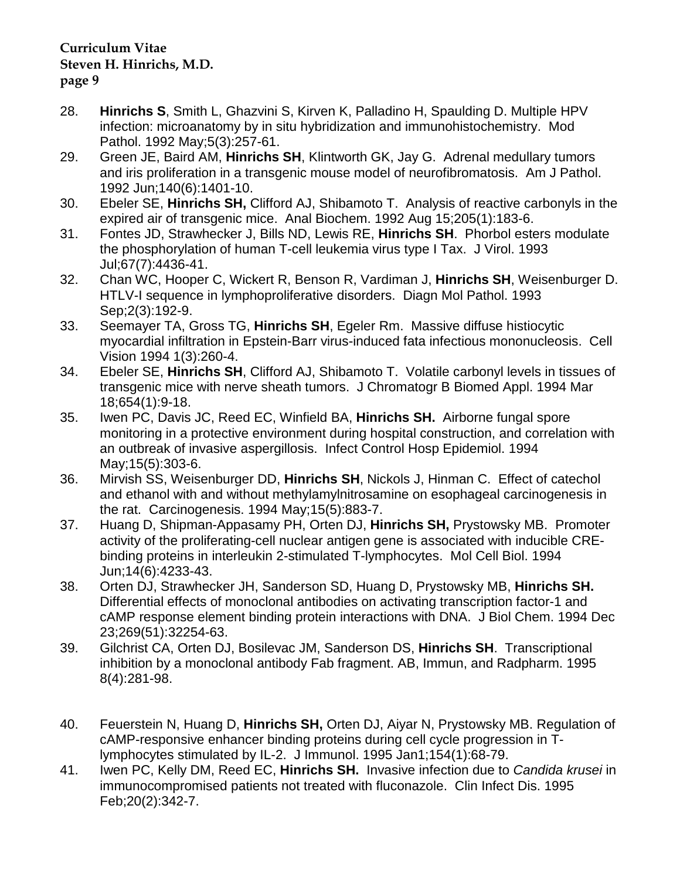- 28. **Hinrichs S**, Smith L, Ghazvini S, Kirven K, Palladino H, Spaulding D. Multiple HPV infection: microanatomy by in situ hybridization and immunohistochemistry. Mod Pathol. 1992 May;5(3):257-61.
- 29. Green JE, Baird AM, **Hinrichs SH**, Klintworth GK, Jay G. Adrenal medullary tumors and iris proliferation in a transgenic mouse model of neurofibromatosis. Am J Pathol. 1992 Jun;140(6):1401-10.
- 30. Ebeler SE, **Hinrichs SH,** Clifford AJ, Shibamoto T. Analysis of reactive carbonyls in the expired air of transgenic mice. Anal Biochem. 1992 Aug 15;205(1):183-6.
- 31. Fontes JD, Strawhecker J, Bills ND, Lewis RE, **Hinrichs SH**. Phorbol esters modulate the phosphorylation of human T-cell leukemia virus type I Tax. J Virol. 1993 Jul;67(7):4436-41.
- 32. Chan WC, Hooper C, Wickert R, Benson R, Vardiman J, **Hinrichs SH**, Weisenburger D. HTLV-I sequence in lymphoproliferative disorders. Diagn Mol Pathol. 1993 Sep;2(3):192-9.
- 33. Seemayer TA, Gross TG, **Hinrichs SH**, Egeler Rm. Massive diffuse histiocytic myocardial infiltration in Epstein-Barr virus-induced fata infectious mononucleosis. Cell Vision 1994 1(3):260-4.
- 34. Ebeler SE, **Hinrichs SH**, Clifford AJ, Shibamoto T. Volatile carbonyl levels in tissues of transgenic mice with nerve sheath tumors. J Chromatogr B Biomed Appl. 1994 Mar 18;654(1):9-18.
- 35. Iwen PC, Davis JC, Reed EC, Winfield BA, **Hinrichs SH.** Airborne fungal spore monitoring in a protective environment during hospital construction, and correlation with an outbreak of invasive aspergillosis. Infect Control Hosp Epidemiol. 1994 May;15(5):303-6.
- 36. Mirvish SS, Weisenburger DD, **Hinrichs SH**, Nickols J, Hinman C. Effect of catechol and ethanol with and without methylamylnitrosamine on esophageal carcinogenesis in the rat. Carcinogenesis. 1994 May;15(5):883-7.
- 37. Huang D, Shipman-Appasamy PH, Orten DJ, **Hinrichs SH,** Prystowsky MB. Promoter activity of the proliferating-cell nuclear antigen gene is associated with inducible CREbinding proteins in interleukin 2-stimulated T-lymphocytes. Mol Cell Biol. 1994 Jun;14(6):4233-43.
- 38. Orten DJ, Strawhecker JH, Sanderson SD, Huang D, Prystowsky MB, **Hinrichs SH.** Differential effects of monoclonal antibodies on activating transcription factor-1 and cAMP response element binding protein interactions with DNA. J Biol Chem. 1994 Dec 23;269(51):32254-63.
- 39. Gilchrist CA, Orten DJ, Bosilevac JM, Sanderson DS, **Hinrichs SH**. Transcriptional inhibition by a monoclonal antibody Fab fragment. AB, Immun, and Radpharm. 1995 8(4):281-98.
- 40. Feuerstein N, Huang D, **Hinrichs SH,** Orten DJ, Aiyar N, Prystowsky MB. Regulation of cAMP-responsive enhancer binding proteins during cell cycle progression in Tlymphocytes stimulated by IL-2. J Immunol. 1995 Jan1;154(1):68-79.
- 41. Iwen PC, Kelly DM, Reed EC, **Hinrichs SH.** Invasive infection due to *Candida krusei* in immunocompromised patients not treated with fluconazole. Clin Infect Dis. 1995 Feb;20(2):342-7.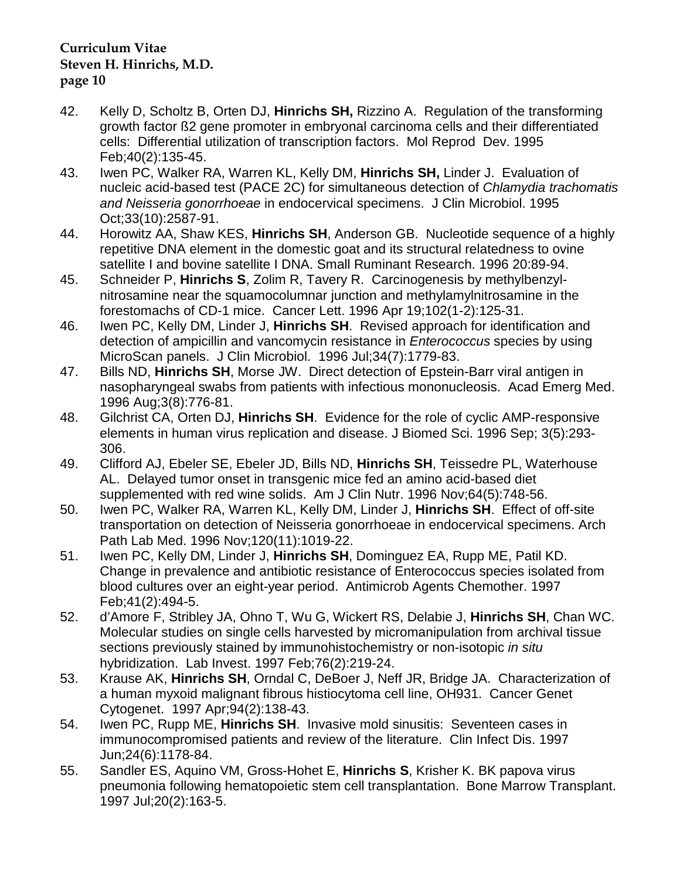- 42. Kelly D, Scholtz B, Orten DJ, **Hinrichs SH,** Rizzino A. Regulation of the transforming growth factor ß2 gene promoter in embryonal carcinoma cells and their differentiated cells: Differential utilization of transcription factors. Mol Reprod Dev. 1995 Feb;40(2):135-45.
- 43. Iwen PC, Walker RA, Warren KL, Kelly DM, **Hinrichs SH,** Linder J. Evaluation of nucleic acid-based test (PACE 2C) for simultaneous detection of *Chlamydia trachomatis and Neisseria gonorrhoeae* in endocervical specimens. J Clin Microbiol. 1995 Oct;33(10):2587-91.
- 44. Horowitz AA, Shaw KES, **Hinrichs SH**, Anderson GB. Nucleotide sequence of a highly repetitive DNA element in the domestic goat and its structural relatedness to ovine satellite I and bovine satellite I DNA. Small Ruminant Research. 1996 20:89-94.
- 45. Schneider P, **Hinrichs S**, Zolim R, Tavery R. Carcinogenesis by methylbenzylnitrosamine near the squamocolumnar junction and methylamylnitrosamine in the forestomachs of CD-1 mice. Cancer Lett. 1996 Apr 19;102(1-2):125-31.
- 46. Iwen PC, Kelly DM, Linder J, **Hinrichs SH**. Revised approach for identification and detection of ampicillin and vancomycin resistance in *Enterococcus* species by using MicroScan panels. J Clin Microbiol. 1996 Jul;34(7):1779-83.
- 47. Bills ND, **Hinrichs SH**, Morse JW. Direct detection of Epstein-Barr viral antigen in nasopharyngeal swabs from patients with infectious mononucleosis. Acad Emerg Med. 1996 Aug;3(8):776-81.
- 48. Gilchrist CA, Orten DJ, **Hinrichs SH**. Evidence for the role of cyclic AMP-responsive elements in human virus replication and disease. J Biomed Sci. 1996 Sep; 3(5):293- 306.
- 49. Clifford AJ, Ebeler SE, Ebeler JD, Bills ND, **Hinrichs SH**, Teissedre PL, Waterhouse AL. Delayed tumor onset in transgenic mice fed an amino acid-based diet supplemented with red wine solids. Am J Clin Nutr. 1996 Nov;64(5):748-56.
- 50. Iwen PC, Walker RA, Warren KL, Kelly DM, Linder J, **Hinrichs SH**. Effect of off-site transportation on detection of Neisseria gonorrhoeae in endocervical specimens. Arch Path Lab Med. 1996 Nov;120(11):1019-22.
- 51. Iwen PC, Kelly DM, Linder J, **Hinrichs SH**, Dominguez EA, Rupp ME, Patil KD. Change in prevalence and antibiotic resistance of Enterococcus species isolated from blood cultures over an eight-year period. Antimicrob Agents Chemother. 1997 Feb;41(2):494-5.
- 52. d'Amore F, Stribley JA, Ohno T, Wu G, Wickert RS, Delabie J, **Hinrichs SH**, Chan WC. Molecular studies on single cells harvested by micromanipulation from archival tissue sections previously stained by immunohistochemistry or non-isotopic *in situ* hybridization. Lab Invest. 1997 Feb;76(2):219-24.
- 53. Krause AK, **Hinrichs SH**, Orndal C, DeBoer J, Neff JR, Bridge JA. Characterization of a human myxoid malignant fibrous histiocytoma cell line, OH931. Cancer Genet Cytogenet. 1997 Apr;94(2):138-43.
- 54. Iwen PC, Rupp ME, **Hinrichs SH**. Invasive mold sinusitis: Seventeen cases in immunocompromised patients and review of the literature. Clin Infect Dis. 1997 Jun;24(6):1178-84.
- 55. Sandler ES, Aquino VM, Gross-Hohet E, **Hinrichs S**, Krisher K. BK papova virus pneumonia following hematopoietic stem cell transplantation. Bone Marrow Transplant. 1997 Jul;20(2):163-5.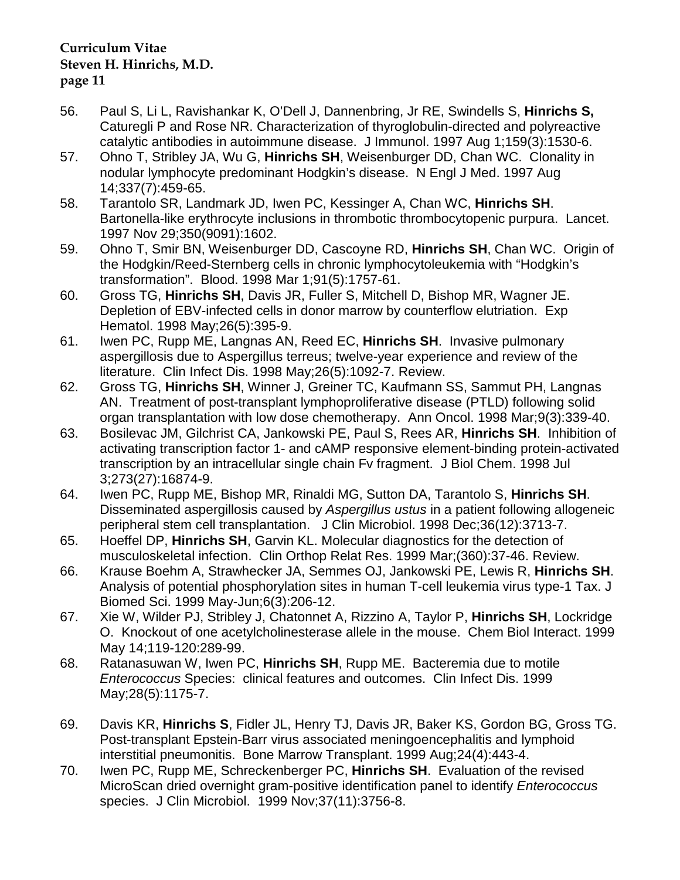- 56. Paul S, Li L, Ravishankar K, O'Dell J, Dannenbring, Jr RE, Swindells S, **Hinrichs S,** Caturegli P and Rose NR. Characterization of thyroglobulin-directed and polyreactive catalytic antibodies in autoimmune disease. J Immunol. 1997 Aug 1;159(3):1530-6.
- 57. Ohno T, Stribley JA, Wu G, **Hinrichs SH**, Weisenburger DD, Chan WC. Clonality in nodular lymphocyte predominant Hodgkin's disease. N Engl J Med. 1997 Aug 14;337(7):459-65.
- 58. Tarantolo SR, Landmark JD, Iwen PC, Kessinger A, Chan WC, **Hinrichs SH**. Bartonella-like erythrocyte inclusions in thrombotic thrombocytopenic purpura. Lancet. 1997 Nov 29;350(9091):1602.
- 59. Ohno T, Smir BN, Weisenburger DD, Cascoyne RD, **Hinrichs SH**, Chan WC. Origin of the Hodgkin/Reed-Sternberg cells in chronic lymphocytoleukemia with "Hodgkin's transformation". Blood. 1998 Mar 1;91(5):1757-61.
- 60. Gross TG, **Hinrichs SH**, Davis JR, Fuller S, Mitchell D, Bishop MR, Wagner JE. Depletion of EBV-infected cells in donor marrow by counterflow elutriation. Exp Hematol. 1998 May;26(5):395-9.
- 61. Iwen PC, Rupp ME, Langnas AN, Reed EC, **Hinrichs SH**. Invasive pulmonary aspergillosis due to Aspergillus terreus; twelve-year experience and review of the literature. Clin Infect Dis. 1998 May;26(5):1092-7. Review.
- 62. Gross TG, **Hinrichs SH**, Winner J, Greiner TC, Kaufmann SS, Sammut PH, Langnas AN. Treatment of post-transplant lymphoproliferative disease (PTLD) following solid organ transplantation with low dose chemotherapy. Ann Oncol. 1998 Mar;9(3):339-40.
- 63. Bosilevac JM, Gilchrist CA, Jankowski PE, Paul S, Rees AR, **Hinrichs SH**. Inhibition of activating transcription factor 1- and cAMP responsive element-binding protein-activated transcription by an intracellular single chain Fv fragment. J Biol Chem. 1998 Jul 3;273(27):16874-9.
- 64. Iwen PC, Rupp ME, Bishop MR, Rinaldi MG, Sutton DA, Tarantolo S, **Hinrichs SH**. Disseminated aspergillosis caused by *Aspergillus ustus* in a patient following allogeneic peripheral stem cell transplantation. J Clin Microbiol. 1998 Dec;36(12):3713-7.
- 65. Hoeffel DP, **Hinrichs SH**, Garvin KL. Molecular diagnostics for the detection of musculoskeletal infection. Clin Orthop Relat Res. 1999 Mar;(360):37-46. Review.
- 66. Krause Boehm A, Strawhecker JA, Semmes OJ, Jankowski PE, Lewis R, **Hinrichs SH**. Analysis of potential phosphorylation sites in human T-cell leukemia virus type-1 Tax. J Biomed Sci. 1999 May-Jun;6(3):206-12.
- 67. Xie W, Wilder PJ, Stribley J, Chatonnet A, Rizzino A, Taylor P, **Hinrichs SH**, Lockridge O. Knockout of one acetylcholinesterase allele in the mouse. Chem Biol Interact. 1999 May 14;119-120:289-99.
- 68. Ratanasuwan W, Iwen PC, **Hinrichs SH**, Rupp ME. Bacteremia due to motile *Enterococcus* Species: clinical features and outcomes. Clin Infect Dis. 1999 May;28(5):1175-7.
- 69. Davis KR, **Hinrichs S**, Fidler JL, Henry TJ, Davis JR, Baker KS, Gordon BG, Gross TG. Post-transplant Epstein-Barr virus associated meningoencephalitis and lymphoid interstitial pneumonitis. Bone Marrow Transplant. 1999 Aug;24(4):443-4.
- 70. Iwen PC, Rupp ME, Schreckenberger PC, **Hinrichs SH**. Evaluation of the revised MicroScan dried overnight gram-positive identification panel to identify *Enterococcus* species. J Clin Microbiol. 1999 Nov;37(11):3756-8.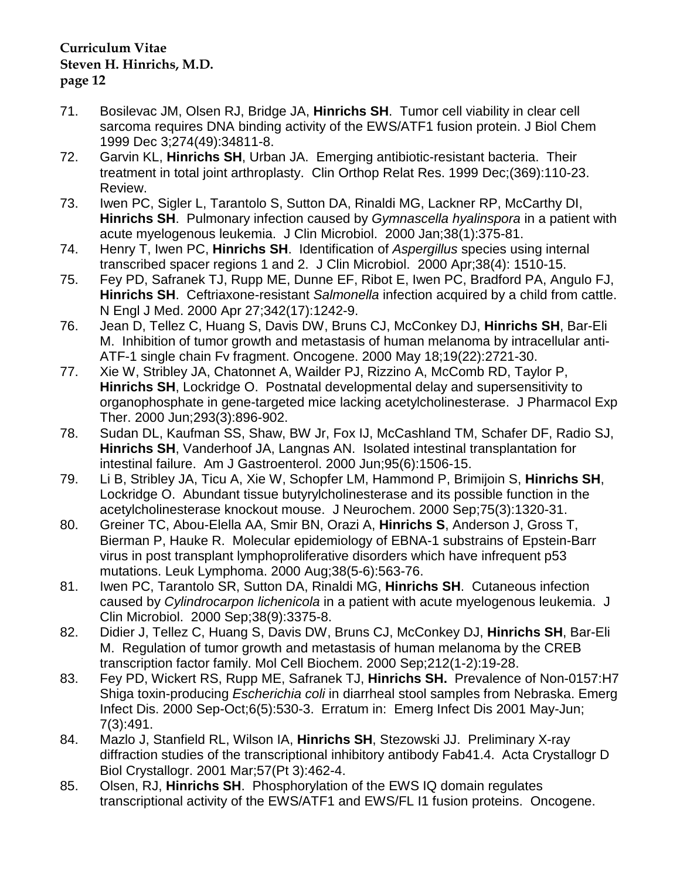- 71. Bosilevac JM, Olsen RJ, Bridge JA, **Hinrichs SH**. Tumor cell viability in clear cell sarcoma requires DNA binding activity of the EWS/ATF1 fusion protein. J Biol Chem 1999 Dec 3;274(49):34811-8.
- 72. Garvin KL, **Hinrichs SH**, Urban JA. Emerging antibiotic-resistant bacteria. Their treatment in total joint arthroplasty. Clin Orthop Relat Res. 1999 Dec;(369):110-23. Review.
- 73. Iwen PC, Sigler L, Tarantolo S, Sutton DA, Rinaldi MG, Lackner RP, McCarthy DI, **Hinrichs SH**. Pulmonary infection caused by *Gymnascella hyalinspora* in a patient with acute myelogenous leukemia. J Clin Microbiol. 2000 Jan;38(1):375-81.
- 74. Henry T, Iwen PC, **Hinrichs SH**. Identification of *Aspergillus* species using internal transcribed spacer regions 1 and 2. J Clin Microbiol. 2000 Apr;38(4): 1510-15.
- 75. Fey PD, Safranek TJ, Rupp ME, Dunne EF, Ribot E, Iwen PC, Bradford PA, Angulo FJ, **Hinrichs SH**. Ceftriaxone-resistant *Salmonella* infection acquired by a child from cattle. N Engl J Med. 2000 Apr 27;342(17):1242-9.
- 76. Jean D, Tellez C, Huang S, Davis DW, Bruns CJ, McConkey DJ, **Hinrichs SH**, Bar-Eli M. Inhibition of tumor growth and metastasis of human melanoma by intracellular anti-ATF-1 single chain Fv fragment. Oncogene. 2000 May 18;19(22):2721-30.
- 77. Xie W, Stribley JA, Chatonnet A, Wailder PJ, Rizzino A, McComb RD, Taylor P, **Hinrichs SH**, Lockridge O. Postnatal developmental delay and supersensitivity to organophosphate in gene-targeted mice lacking acetylcholinesterase. J Pharmacol Exp Ther. 2000 Jun;293(3):896-902.
- 78. Sudan DL, Kaufman SS, Shaw, BW Jr, Fox IJ, McCashland TM, Schafer DF, Radio SJ, **Hinrichs SH**, Vanderhoof JA, Langnas AN. Isolated intestinal transplantation for intestinal failure. Am J Gastroenterol. 2000 Jun;95(6):1506-15.
- 79. Li B, Stribley JA, Ticu A, Xie W, Schopfer LM, Hammond P, Brimijoin S, **Hinrichs SH**, Lockridge O. Abundant tissue butyrylcholinesterase and its possible function in the acetylcholinesterase knockout mouse. J Neurochem. 2000 Sep;75(3):1320-31.
- 80. Greiner TC, Abou-Elella AA, Smir BN, Orazi A, **Hinrichs S**, Anderson J, Gross T, Bierman P, Hauke R. Molecular epidemiology of EBNA-1 substrains of Epstein-Barr virus in post transplant lymphoproliferative disorders which have infrequent p53 mutations. Leuk Lymphoma. 2000 Aug;38(5-6):563-76.
- 81. Iwen PC, Tarantolo SR, Sutton DA, Rinaldi MG, **Hinrichs SH**. Cutaneous infection caused by *Cylindrocarpon lichenicola* in a patient with acute myelogenous leukemia. J Clin Microbiol. 2000 Sep;38(9):3375-8.
- 82. Didier J, Tellez C, Huang S, Davis DW, Bruns CJ, McConkey DJ, **Hinrichs SH**, Bar-Eli M. Regulation of tumor growth and metastasis of human melanoma by the CREB transcription factor family. Mol Cell Biochem. 2000 Sep;212(1-2):19-28.
- 83. Fey PD, Wickert RS, Rupp ME, Safranek TJ, **Hinrichs SH.** Prevalence of Non-0157:H7 Shiga toxin-producing *Escherichia coli* in diarrheal stool samples from Nebraska. Emerg Infect Dis. 2000 Sep-Oct;6(5):530-3. Erratum in: Emerg Infect Dis 2001 May-Jun; 7(3):491.
- 84. Mazlo J, Stanfield RL, Wilson IA, **Hinrichs SH**, Stezowski JJ. Preliminary X-ray diffraction studies of the transcriptional inhibitory antibody Fab41.4. Acta Crystallogr D Biol Crystallogr. 2001 Mar;57(Pt 3):462-4.
- 85. Olsen, RJ, **Hinrichs SH**. Phosphorylation of the EWS IQ domain regulates transcriptional activity of the EWS/ATF1 and EWS/FL I1 fusion proteins. Oncogene.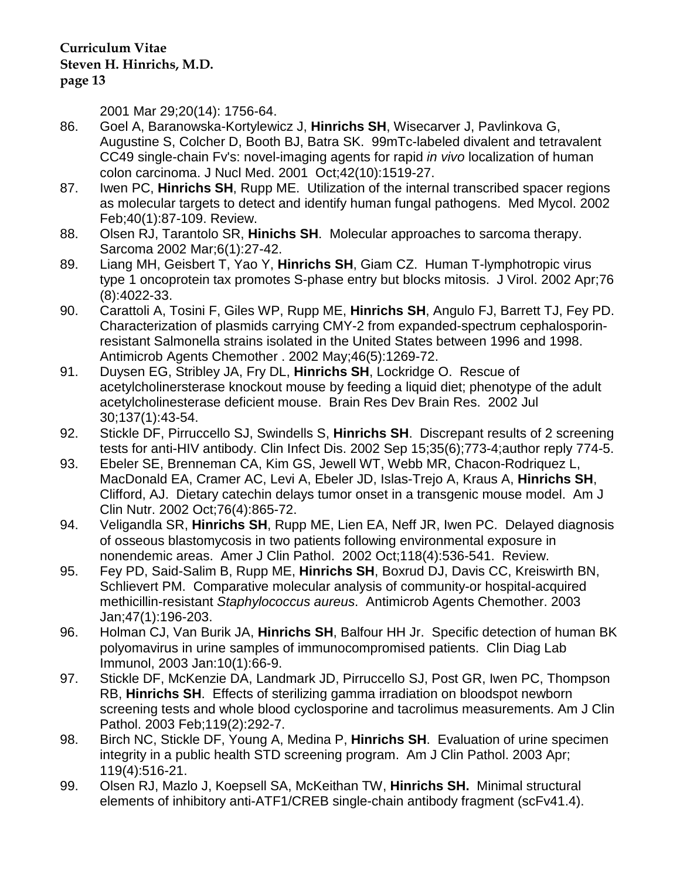2001 Mar 29;20(14): 1756-64.

- 86. Goel A, Baranowska-Kortylewicz J, **Hinrichs SH**, Wisecarver J, Pavlinkova G, Augustine S, Colcher D, Booth BJ, Batra SK. 99mTc-labeled divalent and tetravalent CC49 single-chain Fv's: novel-imaging agents for rapid *in vivo* localization of human colon carcinoma. J Nucl Med. 2001 Oct;42(10):1519-27.
- 87. Iwen PC, **Hinrichs SH**, Rupp ME. Utilization of the internal transcribed spacer regions as molecular targets to detect and identify human fungal pathogens. Med Mycol. 2002 Feb;40(1):87-109. Review.
- 88. Olsen RJ, Tarantolo SR, **Hinichs SH**. Molecular approaches to sarcoma therapy. Sarcoma 2002 Mar;6(1):27-42.
- 89. Liang MH, Geisbert T, Yao Y, **Hinrichs SH**, Giam CZ. Human T-lymphotropic virus type 1 oncoprotein tax promotes S-phase entry but blocks mitosis. J Virol. 2002 Apr;76 (8):4022-33.
- 90. Carattoli A, Tosini F, Giles WP, Rupp ME, **Hinrichs SH**, Angulo FJ, Barrett TJ, Fey PD. Characterization of plasmids carrying CMY-2 from expanded-spectrum cephalosporinresistant Salmonella strains isolated in the United States between 1996 and 1998. Antimicrob Agents Chemother . 2002 May;46(5):1269-72.
- 91. Duysen EG, Stribley JA, Fry DL, **Hinrichs SH**, Lockridge O. Rescue of acetylcholinersterase knockout mouse by feeding a liquid diet; phenotype of the adult acetylcholinesterase deficient mouse. Brain Res Dev Brain Res. 2002 Jul 30;137(1):43-54.
- 92. Stickle DF, Pirruccello SJ, Swindells S, **Hinrichs SH**. Discrepant results of 2 screening tests for anti-HIV antibody. Clin Infect Dis. 2002 Sep 15;35(6);773-4;author reply 774-5.
- 93. Ebeler SE, Brenneman CA, Kim GS, Jewell WT, Webb MR, Chacon-Rodriquez L, MacDonald EA, Cramer AC, Levi A, Ebeler JD, Islas-Trejo A, Kraus A, **Hinrichs SH**, Clifford, AJ. Dietary catechin delays tumor onset in a transgenic mouse model. Am J Clin Nutr. 2002 Oct;76(4):865-72.
- 94. Veligandla SR, **Hinrichs SH**, Rupp ME, Lien EA, Neff JR, Iwen PC. Delayed diagnosis of osseous blastomycosis in two patients following environmental exposure in nonendemic areas. Amer J Clin Pathol. 2002 Oct;118(4):536-541. Review.
- 95. Fey PD, Said-Salim B, Rupp ME, **Hinrichs SH**, Boxrud DJ, Davis CC, Kreiswirth BN, Schlievert PM. Comparative molecular analysis of community-or hospital-acquired methicillin-resistant *Staphylococcus aureus*. Antimicrob Agents Chemother. 2003 Jan;47(1):196-203.
- 96. Holman CJ, Van Burik JA, **Hinrichs SH**, Balfour HH Jr. Specific detection of human BK polyomavirus in urine samples of immunocompromised patients. Clin Diag Lab Immunol, 2003 Jan:10(1):66-9.
- 97. Stickle DF, McKenzie DA, Landmark JD, Pirruccello SJ, Post GR, Iwen PC, Thompson RB, **Hinrichs SH**. Effects of sterilizing gamma irradiation on bloodspot newborn screening tests and whole blood cyclosporine and tacrolimus measurements. Am J Clin Pathol. 2003 Feb;119(2):292-7.
- 98. Birch NC, Stickle DF, Young A, Medina P, **Hinrichs SH**. Evaluation of urine specimen integrity in a public health STD screening program. Am J Clin Pathol. 2003 Apr; 119(4):516-21.
- 99. Olsen RJ, Mazlo J, Koepsell SA, McKeithan TW, **Hinrichs SH.** Minimal structural elements of inhibitory anti-ATF1/CREB single-chain antibody fragment (scFv41.4).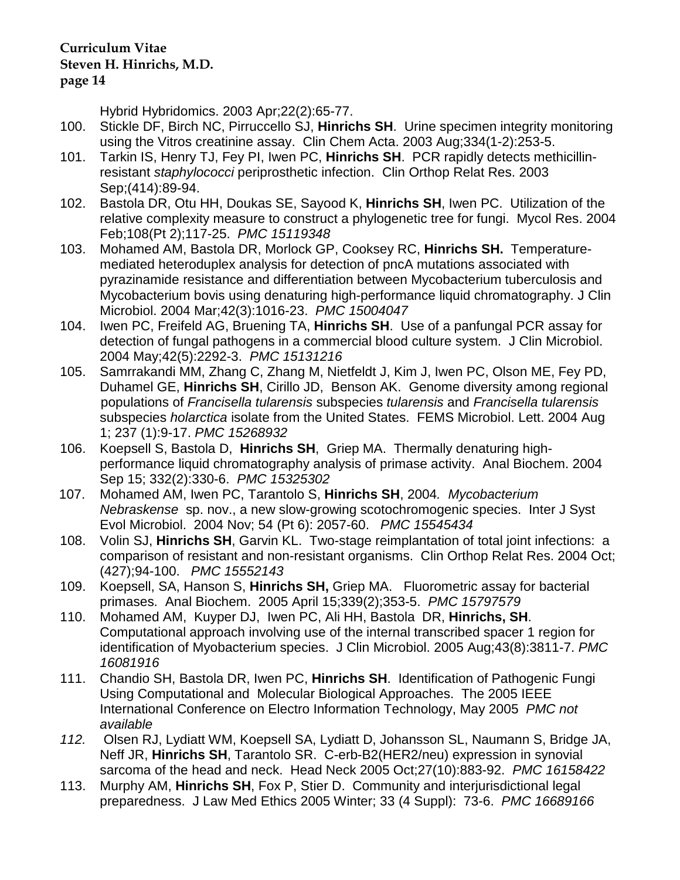Hybrid Hybridomics. 2003 Apr;22(2):65-77.

- 100. Stickle DF, Birch NC, Pirruccello SJ, **Hinrichs SH**. Urine specimen integrity monitoring using the Vitros creatinine assay. Clin Chem Acta. 2003 Aug;334(1-2):253-5.
- 101. Tarkin IS, Henry TJ, Fey PI, Iwen PC, **Hinrichs SH**. PCR rapidly detects methicillinresistant *staphylococci* periprosthetic infection. Clin Orthop Relat Res. 2003 Sep;(414):89-94.
- 102. Bastola DR, Otu HH, Doukas SE, Sayood K, **Hinrichs SH**, Iwen PC. Utilization of the relative complexity measure to construct a phylogenetic tree for fungi. Mycol Res. 2004 Feb;108(Pt 2);117-25. *PMC 15119348*
- 103. Mohamed AM, Bastola DR, Morlock GP, Cooksey RC, **Hinrichs SH.** Temperaturemediated heteroduplex analysis for detection of pncA mutations associated with pyrazinamide resistance and differentiation between Mycobacterium tuberculosis and Mycobacterium bovis using denaturing high-performance liquid chromatography. J Clin Microbiol. 2004 Mar;42(3):1016-23. *PMC 15004047*
- 104. Iwen PC, Freifeld AG, Bruening TA, **Hinrichs SH**. Use of a panfungal PCR assay for detection of fungal pathogens in a commercial blood culture system. J Clin Microbiol. 2004 May;42(5):2292-3. *PMC 15131216*
- 105. Samrrakandi MM, Zhang C, Zhang M, Nietfeldt J, Kim J, Iwen PC, Olson ME, Fey PD, Duhamel GE, **Hinrichs SH**, Cirillo JD, Benson AK. Genome diversity among regional populations of *Francisella tularensis* subspecies *tularensis* and *Francisella tularensis* subspecies *holarctica* isolate from the United States. FEMS Microbiol. Lett. 2004 Aug 1; 237 (1):9-17. *PMC 15268932*
- 106. Koepsell S, Bastola D, **Hinrichs SH**, Griep MA. Thermally denaturing highperformance liquid chromatography analysis of primase activity. Anal Biochem. 2004 Sep 15; 332(2):330-6. *PMC 15325302*
- 107. Mohamed AM, Iwen PC, Tarantolo S, **Hinrichs SH**, 2004*. Mycobacterium Nebraskense* sp. nov., a new slow-growing scotochromogenic species. Inter J Syst Evol Microbiol. 2004 Nov; 54 (Pt 6): 2057-60. *PMC 15545434*
- 108. Volin SJ, **Hinrichs SH**, Garvin KL. Two-stage reimplantation of total joint infections: a comparison of resistant and non-resistant organisms. Clin Orthop Relat Res. 2004 Oct; (427);94-100. *PMC 15552143*
- 109. Koepsell, SA, Hanson S, **Hinrichs SH,** Griep MA. Fluorometric assay for bacterial primases. Anal Biochem. 2005 April 15;339(2);353-5. *PMC 15797579*
- 110. Mohamed AM, Kuyper DJ, Iwen PC, Ali HH, Bastola DR, **Hinrichs, SH**. Computational approach involving use of the internal transcribed spacer 1 region for identification of Myobacterium species. J Clin Microbiol. 2005 Aug;43(8):3811-7. *PMC 16081916*
- 111. Chandio SH, Bastola DR, Iwen PC, **Hinrichs SH**. Identification of Pathogenic Fungi Using Computational and Molecular Biological Approaches. The 2005 IEEE International Conference on Electro Information Technology, May 2005 *PMC not available*
- *112.* Olsen RJ, Lydiatt WM, Koepsell SA, Lydiatt D, Johansson SL, Naumann S, Bridge JA, Neff JR, **Hinrichs SH**, Tarantolo SR. C-erb-B2(HER2/neu) expression in synovial sarcoma of the head and neck. Head Neck 2005 Oct;27(10):883-92. *PMC 16158422*
- 113. Murphy AM, **Hinrichs SH**, Fox P, Stier D. Community and interjurisdictional legal preparedness. J Law Med Ethics 2005 Winter; 33 (4 Suppl): 73-6. *PMC 16689166*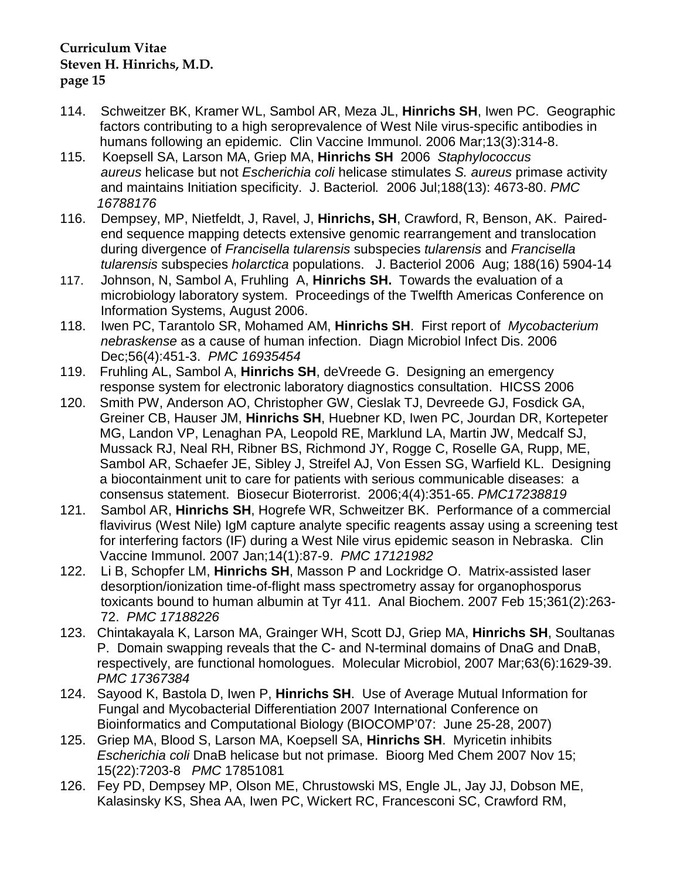- 114. Schweitzer BK, Kramer WL, Sambol AR, Meza JL, **Hinrichs SH**, Iwen PC. Geographic factors contributing to a high seroprevalence of West Nile virus-specific antibodies in humans following an epidemic. Clin Vaccine Immunol. 2006 Mar;13(3):314-8.
- 115. Koepsell SA, Larson MA, Griep MA, **Hinrichs SH** 2006 *Staphylococcus aureus* helicase but not *Escherichia coli* helicase stimulates *S. aureus* primase activity and maintains Initiation specificity. J. Bacteriol*.* 2006 Jul;188(13): 4673-80. *PMC 16788176*
- 116. Dempsey, MP, Nietfeldt, J, Ravel, J, **Hinrichs, SH**, Crawford, R, Benson, AK. Paired end sequence mapping detects extensive genomic rearrangement and translocation during divergence of *Francisella tularensis* subspecies *tularensis* and *Francisella tularensis* subspecies *holarctica* populations. J. Bacteriol 2006 Aug; 188(16) 5904-14
- 117. Johnson, N, Sambol A, Fruhling A, **Hinrichs SH.** Towards the evaluation of a microbiology laboratory system. Proceedings of the Twelfth Americas Conference on Information Systems, August 2006.
- 118. Iwen PC, Tarantolo SR, Mohamed AM, **Hinrichs SH**. First report of *Mycobacterium nebraskense* as a cause of human infection. Diagn Microbiol Infect Dis. 2006 Dec;56(4):451-3. *PMC 16935454*
- 119. Fruhling AL, Sambol A, **Hinrichs SH**, deVreede G. Designing an emergency response system for electronic laboratory diagnostics consultation. HICSS 2006
- 120. Smith PW, Anderson AO, Christopher GW, Cieslak TJ, Devreede GJ, Fosdick GA, Greiner CB, Hauser JM, **Hinrichs SH**, Huebner KD, Iwen PC, Jourdan DR, Kortepeter MG, Landon VP, Lenaghan PA, Leopold RE, Marklund LA, Martin JW, Medcalf SJ, Mussack RJ, Neal RH, Ribner BS, Richmond JY, Rogge C, Roselle GA, Rupp, ME, Sambol AR, Schaefer JE, Sibley J, Streifel AJ, Von Essen SG, Warfield KL. Designing a biocontainment unit to care for patients with serious communicable diseases: a consensus statement. Biosecur Bioterrorist. 2006;4(4):351-65. *PMC17238819*
- 121. Sambol AR, **Hinrichs SH**, Hogrefe WR, Schweitzer BK. Performance of a commercial flavivirus (West Nile) IgM capture analyte specific reagents assay using a screening test for interfering factors (IF) during a West Nile virus epidemic season in Nebraska. Clin Vaccine Immunol. 2007 Jan;14(1):87-9. *PMC 17121982*
- 122. Li B, Schopfer LM, **Hinrichs SH**, Masson P and Lockridge O. Matrix-assisted laser desorption/ionization time-of-flight mass spectrometry assay for organophosporus toxicants bound to human albumin at Tyr 411. Anal Biochem. 2007 Feb 15;361(2):263- 72. *PMC 17188226*
- 123. Chintakayala K, Larson MA, Grainger WH, Scott DJ, Griep MA, **Hinrichs SH**, Soultanas P. Domain swapping reveals that the C- and N-terminal domains of DnaG and DnaB, respectively, are functional homologues. Molecular Microbiol, 2007 Mar;63(6):1629-39. *PMC 17367384*
- 124. Sayood K, Bastola D, Iwen P, **Hinrichs SH**. Use of Average Mutual Information for Fungal and Mycobacterial Differentiation 2007 International Conference on Bioinformatics and Computational Biology (BIOCOMP'07: June 25-28, 2007)
- 125. Griep MA, Blood S, Larson MA, Koepsell SA, **Hinrichs SH**. Myricetin inhibits  *Escherichia coli* DnaB helicase but not primase. Bioorg Med Chem 2007 Nov 15; 15(22):7203-8 *PMC* 17851081
- 126. Fey PD, Dempsey MP, Olson ME, Chrustowski MS, Engle JL, Jay JJ, Dobson ME, Kalasinsky KS, Shea AA, Iwen PC, Wickert RC, Francesconi SC, Crawford RM,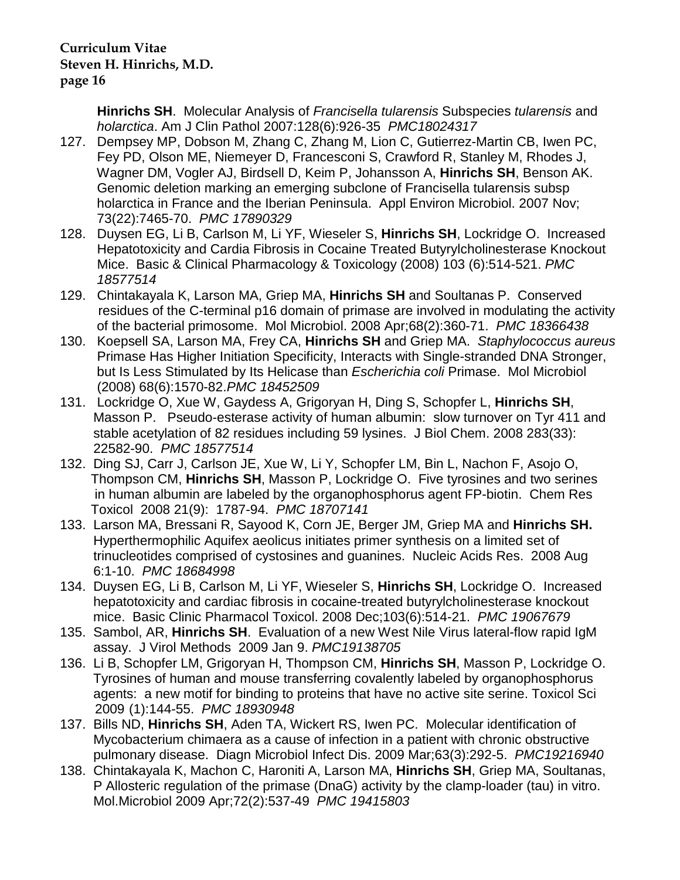**Hinrichs SH**. Molecular Analysis of *Francisella tularensis* Subspecies *tularensis* and *holarctica*. Am J Clin Pathol 2007:128(6):926-35 *PMC18024317*

- 127. Dempsey MP, Dobson M, Zhang C, Zhang M, Lion C, Gutierrez-Martin CB, Iwen PC, Fey PD, Olson ME, Niemeyer D, Francesconi S, Crawford R, Stanley M, Rhodes J, Wagner DM, Vogler AJ, Birdsell D, Keim P, Johansson A, **Hinrichs SH**, Benson AK. Genomic deletion marking an emerging subclone of Francisella tularensis subsp holarctica in France and the Iberian Peninsula. Appl Environ Microbiol. 2007 Nov; 73(22):7465-70. *PMC 17890329*
- 128. Duysen EG, Li B, Carlson M, Li YF, Wieseler S, **Hinrichs SH**, Lockridge O. Increased Hepatotoxicity and Cardia Fibrosis in Cocaine Treated Butyrylcholinesterase Knockout Mice. Basic & Clinical Pharmacology & Toxicology (2008) 103 (6):514-521. *PMC 18577514*
- 129. Chintakayala K, Larson MA, Griep MA, **Hinrichs SH** and Soultanas P. Conserved residues of the C-terminal p16 domain of primase are involved in modulating the activity of the bacterial primosome. Mol Microbiol. 2008 Apr;68(2):360-71. *PMC 18366438*
- 130. Koepsell SA, Larson MA, Frey CA, **Hinrichs SH** and Griep MA. *Staphylococcus aureus* Primase Has Higher Initiation Specificity, Interacts with Single-stranded DNA Stronger, but Is Less Stimulated by Its Helicase than *Escherichia coli* Primase. Mol Microbiol (2008) 68(6):1570-82.*PMC 18452509*
- 131. Lockridge O, Xue W, Gaydess A, Grigoryan H, Ding S, Schopfer L, **Hinrichs SH**, Masson P. Pseudo-esterase activity of human albumin: slow turnover on Tyr 411 and stable acetylation of 82 residues including 59 lysines. J Biol Chem. 2008 283(33): 22582-90. *PMC 18577514*
- 132. Ding SJ, Carr J, Carlson JE, Xue W, Li Y, Schopfer LM, Bin L, Nachon F, Asojo O, Thompson CM, **Hinrichs SH**, Masson P, Lockridge O. Five tyrosines and two serines in human albumin are labeled by the organophosphorus agent FP-biotin. Chem Res Toxicol 2008 21(9): 1787-94. *PMC 18707141*
- 133. Larson MA, Bressani R, Sayood K, Corn JE, Berger JM, Griep MA and **Hinrichs SH.**  Hyperthermophilic Aquifex aeolicus initiates primer synthesis on a limited set of trinucleotides comprised of cystosines and guanines. Nucleic Acids Res. 2008 Aug 6:1-10. *PMC 18684998*
- 134. Duysen EG, Li B, Carlson M, Li YF, Wieseler S, **Hinrichs SH**, Lockridge O. Increased hepatotoxicity and cardiac fibrosis in cocaine-treated butyrylcholinesterase knockout mice. Basic Clinic Pharmacol Toxicol. 2008 Dec;103(6):514-21. *PMC 19067679*
- 135. Sambol, AR, **Hinrichs SH**. Evaluation of a new West Nile Virus lateral-flow rapid IgM assay. J Virol Methods 2009 Jan 9. *PMC19138705*
- 136. Li B, Schopfer LM, Grigoryan H, Thompson CM, **Hinrichs SH**, Masson P, Lockridge O. Tyrosines of human and mouse transferring covalently labeled by organophosphorus agents: a new motif for binding to proteins that have no active site serine. Toxicol Sci 2009 (1):144-55. *PMC 18930948*
- 137. Bills ND, **Hinrichs SH**, Aden TA, Wickert RS, Iwen PC. Molecular identification of Mycobacterium chimaera as a cause of infection in a patient with chronic obstructive pulmonary disease. Diagn Microbiol Infect Dis. 2009 Mar;63(3):292-5. *PMC19216940*
- 138. Chintakayala K, Machon C, Haroniti A, Larson MA, **Hinrichs SH**, Griep MA, Soultanas, P Allosteric regulation of the primase (DnaG) activity by the clamp-loader (tau) in vitro. Mol.Microbiol 2009 Apr;72(2):537-49 *PMC 19415803*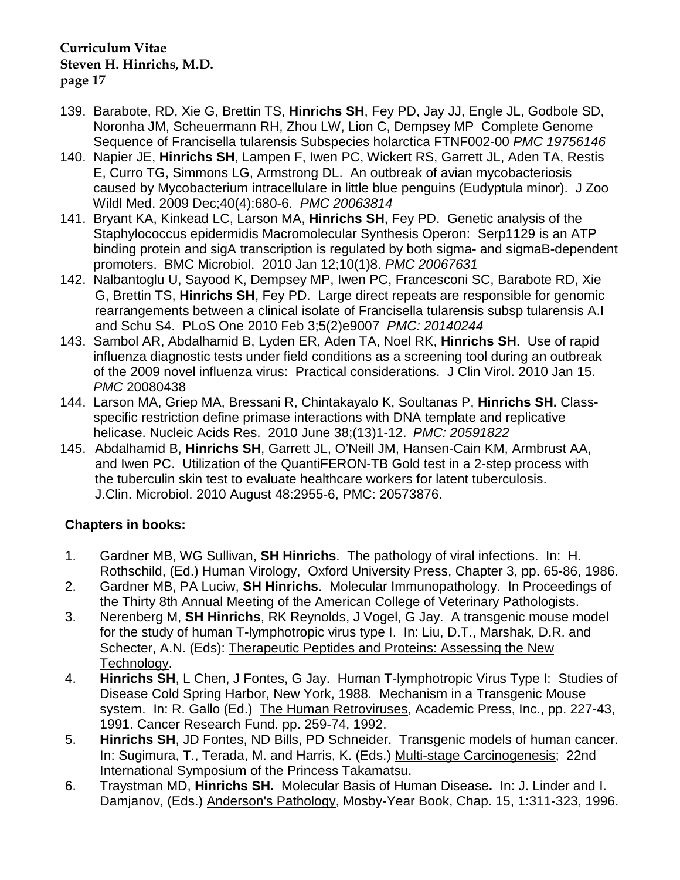- 139. Barabote, RD, Xie G, Brettin TS, **Hinrichs SH**, Fey PD, Jay JJ, Engle JL, Godbole SD, Noronha JM, Scheuermann RH, Zhou LW, Lion C, Dempsey MP Complete Genome Sequence of Francisella tularensis Subspecies holarctica FTNF002-00 *PMC 19756146*
- 140. Napier JE, **Hinrichs SH**, Lampen F, Iwen PC, Wickert RS, Garrett JL, Aden TA, Restis E, Curro TG, Simmons LG, Armstrong DL. An outbreak of avian mycobacteriosis caused by Mycobacterium intracellulare in little blue penguins (Eudyptula minor). J Zoo Wildl Med. 2009 Dec;40(4):680-6. *PMC 20063814*
- 141. Bryant KA, Kinkead LC, Larson MA, **Hinrichs SH**, Fey PD. Genetic analysis of the Staphylococcus epidermidis Macromolecular Synthesis Operon: Serp1129 is an ATP binding protein and sigA transcription is regulated by both sigma- and sigmaB-dependent promoters. BMC Microbiol. 2010 Jan 12;10(1)8. *PMC 20067631*
- 142. [Nalbantoglu U,](http://www.ncbi.nlm.nih.gov/pubmed?term=%22Nalbantoglu%20U%22%5BAuthor%5D) [Sayood K,](http://www.ncbi.nlm.nih.gov/pubmed?term=%22Sayood%20K%22%5BAuthor%5D) [Dempsey MP,](http://www.ncbi.nlm.nih.gov/pubmed?term=%22Dempsey%20MP%22%5BAuthor%5D) [Iwen PC,](http://www.ncbi.nlm.nih.gov/pubmed?term=%22Iwen%20PC%22%5BAuthor%5D) [Francesconi SC,](http://www.ncbi.nlm.nih.gov/pubmed?term=%22Francesconi%20SC%22%5BAuthor%5D) [Barabote RD,](http://www.ncbi.nlm.nih.gov/pubmed?term=%22Barabote%20RD%22%5BAuthor%5D) [Xie](http://www.ncbi.nlm.nih.gov/pubmed?term=%22Xie%20G%22%5BAuthor%5D)  [G,](http://www.ncbi.nlm.nih.gov/pubmed?term=%22Xie%20G%22%5BAuthor%5D) [Brettin TS,](http://www.ncbi.nlm.nih.gov/pubmed?term=%22Brettin%20TS%22%5BAuthor%5D) **[Hinrichs SH](http://www.ncbi.nlm.nih.gov/pubmed?term=%22Hinrichs%20SH%22%5BAuthor%5D)**, [Fey PD.](http://www.ncbi.nlm.nih.gov/pubmed?term=%22Fey%20PD%22%5BAuthor%5D) Large direct repeats are responsible for genomic rearrangements between a clinical isolate of Francisella tularensis subsp tularensis A.I and Schu S4. PLoS One 2010 Feb 3;5(2)e9007 *PMC: 20140244*
- 143. Sambol AR, Abdalhamid B, Lyden ER, Aden TA, Noel RK, **Hinrichs SH**. Use of rapid influenza diagnostic tests under field conditions as a screening tool during an outbreak of the 2009 novel influenza virus: Practical considerations. J Clin Virol. 2010 Jan 15. *PMC* 20080438
- 144. Larson MA, Griep MA, Bressani R, Chintakayalo K, Soultanas P, **Hinrichs SH.** Class specific restriction define primase interactions with DNA template and replicative helicase. Nucleic Acids Res. 2010 June 38;(13)1-12. *PMC: 20591822*
- 145. Abdalhamid B, **Hinrichs SH**, Garrett JL, O'Neill JM, Hansen-Cain KM, Armbrust AA, and Iwen PC. Utilization of the QuantiFERON-TB Gold test in a 2-step process with the tuberculin skin test to evaluate healthcare workers for latent tuberculosis. J.Clin. Microbiol. 2010 August 48:2955-6, PMC: 20573876.

# **Chapters in books:**

- 1. Gardner MB, WG Sullivan, **SH Hinrichs**. The pathology of viral infections. In: H. Rothschild, (Ed.) Human Virology, Oxford University Press, Chapter 3, pp. 65-86, 1986.
- 2. Gardner MB, PA Luciw, **SH Hinrichs**. Molecular Immunopathology. In Proceedings of the Thirty 8th Annual Meeting of the American College of Veterinary Pathologists.
- 3. Nerenberg M, **SH Hinrichs**, RK Reynolds, J Vogel, G Jay. A transgenic mouse model for the study of human T-lymphotropic virus type I. In: Liu, D.T., Marshak, D.R. and Schecter, A.N. (Eds): Therapeutic Peptides and Proteins: Assessing the New Technology.
- 4. **Hinrichs SH**, L Chen, J Fontes, G Jay. Human T-lymphotropic Virus Type I: Studies of Disease Cold Spring Harbor, New York, 1988. Mechanism in a Transgenic Mouse system. In: R. Gallo (Ed.) The Human Retroviruses, Academic Press, Inc., pp. 227-43, 1991. Cancer Research Fund. pp. 259-74, 1992.
- 5. **Hinrichs SH**, JD Fontes, ND Bills, PD Schneider. Transgenic models of human cancer. In: Sugimura, T., Terada, M. and Harris, K. (Eds.) Multi-stage Carcinogenesis; 22nd International Symposium of the Princess Takamatsu.
- 6. Traystman MD, **Hinrichs SH.** Molecular Basis of Human Disease**.** In: J. Linder and I. Damjanov, (Eds.) Anderson's Pathology, Mosby-Year Book, Chap. 15, 1:311-323, 1996.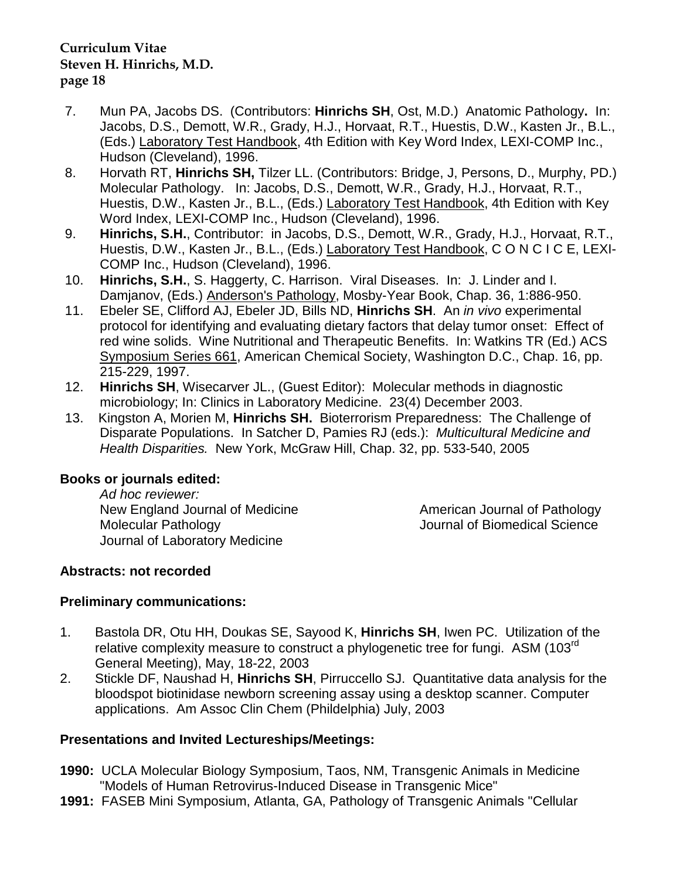- 7. Mun PA, Jacobs DS. (Contributors: **Hinrichs SH**, Ost, M.D.) Anatomic Pathology**.** In: Jacobs, D.S., Demott, W.R., Grady, H.J., Horvaat, R.T., Huestis, D.W., Kasten Jr., B.L., (Eds.) Laboratory Test Handbook, 4th Edition with Key Word Index, LEXI-COMP Inc., Hudson (Cleveland), 1996.
- 8. Horvath RT, **Hinrichs SH,** Tilzer LL. (Contributors: Bridge, J, Persons, D., Murphy, PD.) Molecular Pathology. In: Jacobs, D.S., Demott, W.R., Grady, H.J., Horvaat, R.T., Huestis, D.W., Kasten Jr., B.L., (Eds.) Laboratory Test Handbook, 4th Edition with Key Word Index, LEXI-COMP Inc., Hudson (Cleveland), 1996.
- 9. **Hinrichs, S.H.**, Contributor: in Jacobs, D.S., Demott, W.R., Grady, H.J., Horvaat, R.T., Huestis, D.W., Kasten Jr., B.L., (Eds.) Laboratory Test Handbook, C O N C I C E, LEXI-COMP Inc., Hudson (Cleveland), 1996.
- 10. **Hinrichs, S.H.**, S. Haggerty, C. Harrison. Viral Diseases. In: J. Linder and I. Damjanov, (Eds.) Anderson's Pathology, Mosby-Year Book, Chap. 36, 1:886-950.
- 11. Ebeler SE, Clifford AJ, Ebeler JD, Bills ND, **Hinrichs SH**. An *in vivo* experimental protocol for identifying and evaluating dietary factors that delay tumor onset: Effect of red wine solids. Wine Nutritional and Therapeutic Benefits. In: Watkins TR (Ed.) ACS Symposium Series 661, American Chemical Society, Washington D.C., Chap. 16, pp. 215-229, 1997.
- 12. **Hinrichs SH**, Wisecarver JL., (Guest Editor): Molecular methods in diagnostic microbiology; In: Clinics in Laboratory Medicine. 23(4) December 2003.
- 13. Kingston A, Morien M, **Hinrichs SH.** Bioterrorism Preparedness: The Challenge of Disparate Populations. In Satcher D, Pamies RJ (eds.): *Multicultural Medicine and Health Disparities.* New York, McGraw Hill, Chap. 32, pp. 533-540, 2005

# **Books or journals edited:**

*Ad hoc reviewer:* New England Journal of Medicine **American Journal of Pathology** Molecular Pathology Journal of Biomedical Science Journal of Laboratory Medicine

# **Abstracts: not recorded**

# **Preliminary communications:**

- 1. Bastola DR, Otu HH, Doukas SE, Sayood K, **Hinrichs SH**, Iwen PC. Utilization of the relative complexity measure to construct a phylogenetic tree for fungi. ASM (103<sup>rd</sup>) General Meeting), May, 18-22, 2003
- 2. Stickle DF, Naushad H, **Hinrichs SH**, Pirruccello SJ. Quantitative data analysis for the bloodspot biotinidase newborn screening assay using a desktop scanner. Computer applications. Am Assoc Clin Chem (Phildelphia) July, 2003

# **Presentations and Invited Lectureships/Meetings:**

- **1990:** UCLA Molecular Biology Symposium, Taos, NM, Transgenic Animals in Medicine "Models of Human Retrovirus-Induced Disease in Transgenic Mice"
- **1991:** FASEB Mini Symposium, Atlanta, GA, Pathology of Transgenic Animals "Cellular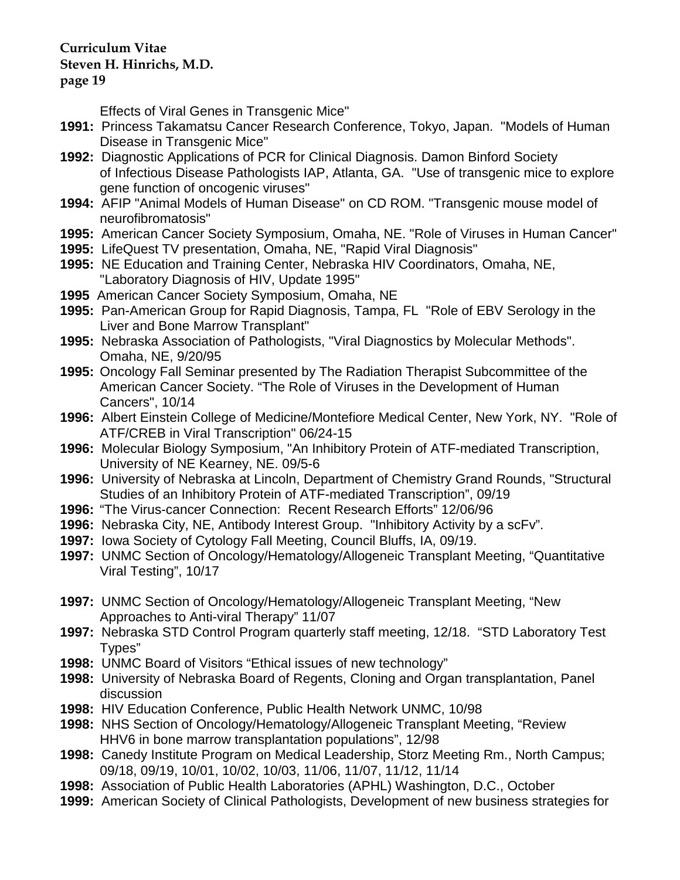#### **page 19**

Effects of Viral Genes in Transgenic Mice"

- **1991:** Princess Takamatsu Cancer Research Conference, Tokyo, Japan. "Models of Human Disease in Transgenic Mice"
- **1992:** Diagnostic Applications of PCR for Clinical Diagnosis. Damon Binford Society of Infectious Disease Pathologists IAP, Atlanta, GA. "Use of transgenic mice to explore gene function of oncogenic viruses"
- **1994:** AFIP "Animal Models of Human Disease" on CD ROM. "Transgenic mouse model of neurofibromatosis"
- **1995:** American Cancer Society Symposium, Omaha, NE. "Role of Viruses in Human Cancer"
- **1995:** LifeQuest TV presentation, Omaha, NE, "Rapid Viral Diagnosis"
- **1995:** NE Education and Training Center, Nebraska HIV Coordinators, Omaha, NE, "Laboratory Diagnosis of HIV, Update 1995"
- **1995** American Cancer Society Symposium, Omaha, NE
- **1995:** Pan-American Group for Rapid Diagnosis, Tampa, FL "Role of EBV Serology in the Liver and Bone Marrow Transplant"
- **1995:** Nebraska Association of Pathologists, "Viral Diagnostics by Molecular Methods". Omaha, NE, 9/20/95
- **1995:** Oncology Fall Seminar presented by The Radiation Therapist Subcommittee of the American Cancer Society. "The Role of Viruses in the Development of Human Cancers", 10/14
- **1996:** Albert Einstein College of Medicine/Montefiore Medical Center, New York, NY. "Role of ATF/CREB in Viral Transcription" 06/24-15
- **1996:** Molecular Biology Symposium, "An Inhibitory Protein of ATF-mediated Transcription, University of NE Kearney, NE. 09/5-6
- **1996:** University of Nebraska at Lincoln, Department of Chemistry Grand Rounds, "Structural Studies of an Inhibitory Protein of ATF-mediated Transcription", 09/19
- **1996:** "The Virus-cancer Connection: Recent Research Efforts" 12/06/96
- **1996:** Nebraska City, NE, Antibody Interest Group. "Inhibitory Activity by a scFv".
- **1997:** Iowa Society of Cytology Fall Meeting, Council Bluffs, IA, 09/19.
- **1997:** UNMC Section of Oncology/Hematology/Allogeneic Transplant Meeting, "Quantitative Viral Testing", 10/17
- **1997:** UNMC Section of Oncology/Hematology/Allogeneic Transplant Meeting, "New Approaches to Anti-viral Therapy" 11/07
- **1997:** Nebraska STD Control Program quarterly staff meeting, 12/18. "STD Laboratory Test Types"
- **1998:** UNMC Board of Visitors "Ethical issues of new technology"
- **1998:** University of Nebraska Board of Regents, Cloning and Organ transplantation, Panel discussion
- **1998:** HIV Education Conference, Public Health Network UNMC, 10/98
- **1998:** NHS Section of Oncology/Hematology/Allogeneic Transplant Meeting, "Review HHV6 in bone marrow transplantation populations", 12/98
- **1998:** Canedy Institute Program on Medical Leadership, Storz Meeting Rm., North Campus; 09/18, 09/19, 10/01, 10/02, 10/03, 11/06, 11/07, 11/12, 11/14
- **1998:** Association of Public Health Laboratories (APHL) Washington, D.C., October
- **1999:** American Society of Clinical Pathologists, Development of new business strategies for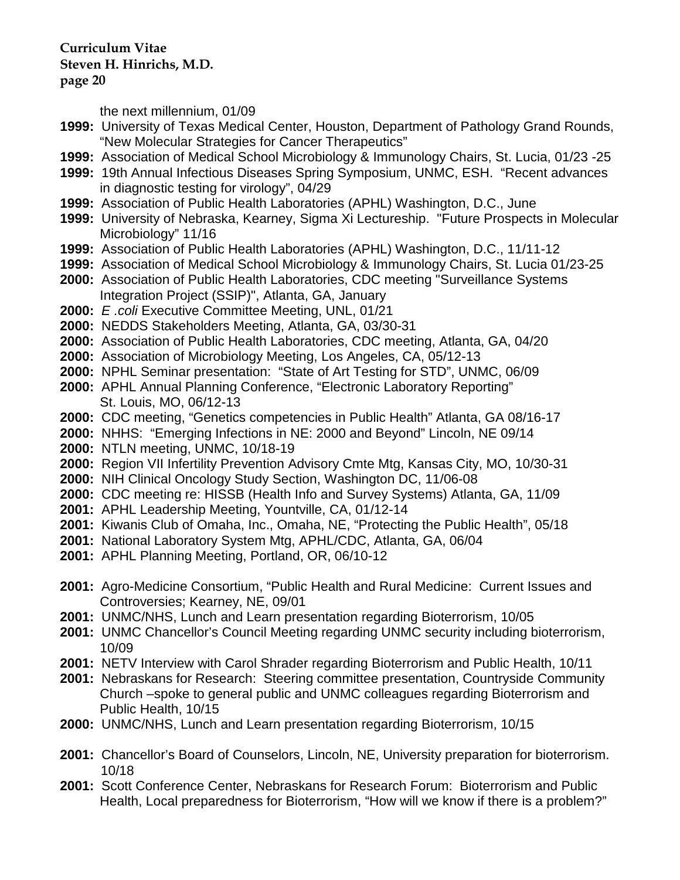**page 20**

the next millennium, 01/09

- **1999:** University of Texas Medical Center, Houston, Department of Pathology Grand Rounds, "New Molecular Strategies for Cancer Therapeutics"
- **1999:** Association of Medical School Microbiology & Immunology Chairs, St. Lucia, 01/23 -25
- **1999:** 19th Annual Infectious Diseases Spring Symposium, UNMC, ESH. "Recent advances in diagnostic testing for virology", 04/29
- **1999:** Association of Public Health Laboratories (APHL) Washington, D.C., June
- **1999:** University of Nebraska, Kearney, Sigma Xi Lectureship. "Future Prospects in Molecular Microbiology" 11/16
- **1999:** Association of Public Health Laboratories (APHL) Washington, D.C., 11/11-12
- **1999:** Association of Medical School Microbiology & Immunology Chairs, St. Lucia 01/23-25
- **2000:** Association of Public Health Laboratories, CDC meeting "Surveillance Systems Integration Project (SSIP)", Atlanta, GA, January
- **2000:** *E .coli* Executive Committee Meeting, UNL, 01/21
- **2000:** NEDDS Stakeholders Meeting, Atlanta, GA, 03/30-31
- **2000:** Association of Public Health Laboratories, CDC meeting, Atlanta, GA, 04/20
- **2000:** Association of Microbiology Meeting, Los Angeles, CA, 05/12-13
- **2000:** NPHL Seminar presentation: "State of Art Testing for STD", UNMC, 06/09
- **2000:** APHL Annual Planning Conference, "Electronic Laboratory Reporting" St. Louis, MO, 06/12-13
- **2000:** CDC meeting, "Genetics competencies in Public Health" Atlanta, GA 08/16-17
- **2000:** NHHS: "Emerging Infections in NE: 2000 and Beyond" Lincoln, NE 09/14
- **2000:** NTLN meeting, UNMC, 10/18-19
- **2000:** Region VII Infertility Prevention Advisory Cmte Mtg, Kansas City, MO, 10/30-31
- **2000:** NIH Clinical Oncology Study Section, Washington DC, 11/06-08
- **2000:** CDC meeting re: HISSB (Health Info and Survey Systems) Atlanta, GA, 11/09
- **2001:** APHL Leadership Meeting, Yountville, CA, 01/12-14
- **2001:** Kiwanis Club of Omaha, Inc., Omaha, NE, "Protecting the Public Health", 05/18
- **2001:** National Laboratory System Mtg, APHL/CDC, Atlanta, GA, 06/04
- **2001:** APHL Planning Meeting, Portland, OR, 06/10-12
- **2001:** Agro-Medicine Consortium, "Public Health and Rural Medicine: Current Issues and Controversies; Kearney, NE, 09/01
- **2001:** UNMC/NHS, Lunch and Learn presentation regarding Bioterrorism, 10/05
- **2001:** UNMC Chancellor's Council Meeting regarding UNMC security including bioterrorism, 10/09
- **2001:** NETV Interview with Carol Shrader regarding Bioterrorism and Public Health, 10/11
- **2001:** Nebraskans for Research: Steering committee presentation, Countryside Community Church –spoke to general public and UNMC colleagues regarding Bioterrorism and Public Health, 10/15
- **2000:** UNMC/NHS, Lunch and Learn presentation regarding Bioterrorism, 10/15
- **2001:** Chancellor's Board of Counselors, Lincoln, NE, University preparation for bioterrorism. 10/18
- **2001:** Scott Conference Center, Nebraskans for Research Forum: Bioterrorism and Public Health, Local preparedness for Bioterrorism, "How will we know if there is a problem?"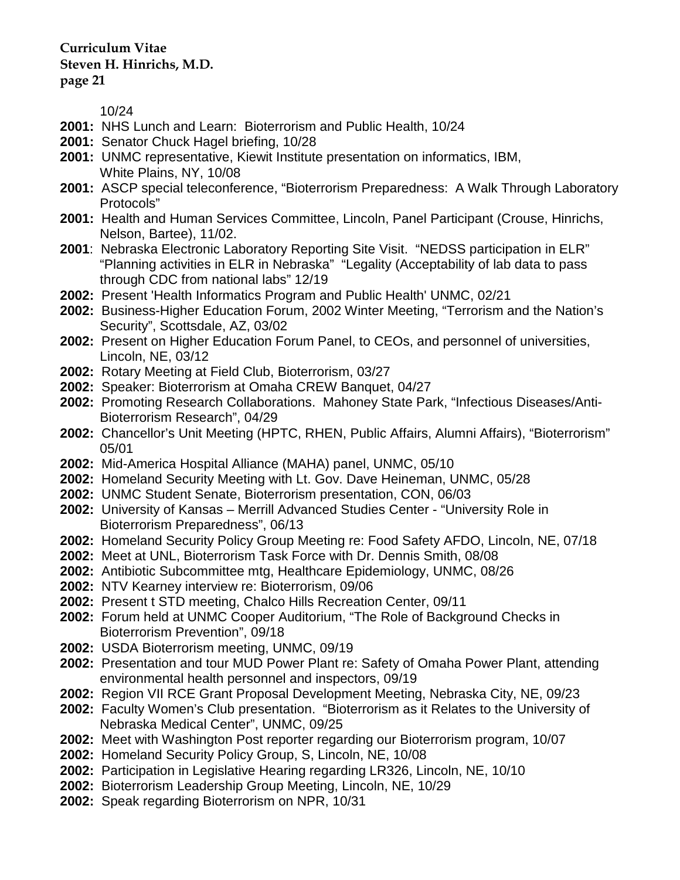**page 21**

10/24

- **2001:** NHS Lunch and Learn: Bioterrorism and Public Health, 10/24
- **2001:** Senator Chuck Hagel briefing, 10/28
- **2001:** UNMC representative, Kiewit Institute presentation on informatics, IBM, White Plains, NY, 10/08
- **2001:** ASCP special teleconference, "Bioterrorism Preparedness: A Walk Through Laboratory Protocols"
- **2001:** Health and Human Services Committee, Lincoln, Panel Participant (Crouse, Hinrichs, Nelson, Bartee), 11/02.
- **2001**: Nebraska Electronic Laboratory Reporting Site Visit. "NEDSS participation in ELR" "Planning activities in ELR in Nebraska" "Legality (Acceptability of lab data to pass through CDC from national labs" 12/19
- **2002:** Present 'Health Informatics Program and Public Health' UNMC, 02/21
- **2002:** Business-Higher Education Forum, 2002 Winter Meeting, "Terrorism and the Nation's Security", Scottsdale, AZ, 03/02
- **2002:** Present on Higher Education Forum Panel, to CEOs, and personnel of universities, Lincoln, NE, 03/12
- **2002:** Rotary Meeting at Field Club, Bioterrorism, 03/27
- **2002:** Speaker: Bioterrorism at Omaha CREW Banquet, 04/27
- **2002:** Promoting Research Collaborations. Mahoney State Park, "Infectious Diseases/Anti-Bioterrorism Research", 04/29
- **2002:** Chancellor's Unit Meeting (HPTC, RHEN, Public Affairs, Alumni Affairs), "Bioterrorism" 05/01
- **2002:** Mid-America Hospital Alliance (MAHA) panel, UNMC, 05/10
- **2002:** Homeland Security Meeting with Lt. Gov. Dave Heineman, UNMC, 05/28
- **2002:** UNMC Student Senate, Bioterrorism presentation, CON, 06/03
- **2002:** University of Kansas Merrill Advanced Studies Center "University Role in Bioterrorism Preparedness", 06/13
- **2002:** Homeland Security Policy Group Meeting re: Food Safety AFDO, Lincoln, NE, 07/18
- **2002:** Meet at UNL, Bioterrorism Task Force with Dr. Dennis Smith, 08/08
- **2002:** Antibiotic Subcommittee mtg, Healthcare Epidemiology, UNMC, 08/26
- **2002:** NTV Kearney interview re: Bioterrorism, 09/06
- **2002:** Present t STD meeting, Chalco Hills Recreation Center, 09/11
- **2002:** Forum held at UNMC Cooper Auditorium, "The Role of Background Checks in Bioterrorism Prevention", 09/18
- **2002:** USDA Bioterrorism meeting, UNMC, 09/19
- **2002:** Presentation and tour MUD Power Plant re: Safety of Omaha Power Plant, attending environmental health personnel and inspectors, 09/19
- **2002:** Region VII RCE Grant Proposal Development Meeting, Nebraska City, NE, 09/23
- **2002:** Faculty Women's Club presentation. "Bioterrorism as it Relates to the University of Nebraska Medical Center", UNMC, 09/25
- **2002:** Meet with Washington Post reporter regarding our Bioterrorism program, 10/07
- **2002:** Homeland Security Policy Group, S, Lincoln, NE, 10/08
- **2002:** Participation in Legislative Hearing regarding LR326, Lincoln, NE, 10/10
- **2002:** Bioterrorism Leadership Group Meeting, Lincoln, NE, 10/29
- **2002:** Speak regarding Bioterrorism on NPR, 10/31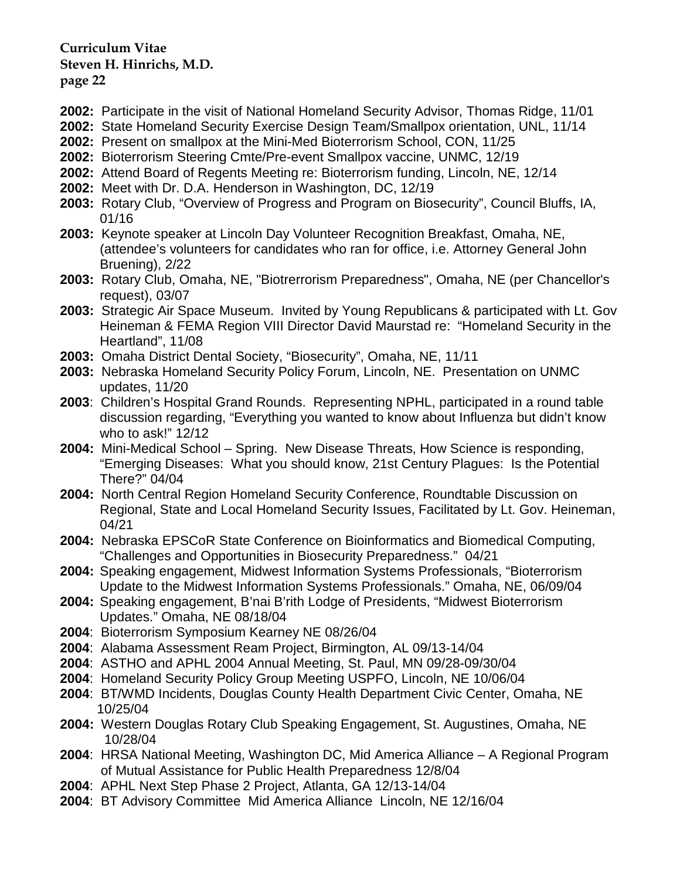- **2002:** Participate in the visit of National Homeland Security Advisor, Thomas Ridge, 11/01
- **2002:** State Homeland Security Exercise Design Team/Smallpox orientation, UNL, 11/14
- **2002:** Present on smallpox at the Mini-Med Bioterrorism School, CON, 11/25
- **2002:** Bioterrorism Steering Cmte/Pre-event Smallpox vaccine, UNMC, 12/19
- **2002:** Attend Board of Regents Meeting re: Bioterrorism funding, Lincoln, NE, 12/14
- **2002:** Meet with Dr. D.A. Henderson in Washington, DC, 12/19
- **2003:** Rotary Club, "Overview of Progress and Program on Biosecurity", Council Bluffs, IA, 01/16
- **2003:** Keynote speaker at Lincoln Day Volunteer Recognition Breakfast, Omaha, NE, (attendee's volunteers for candidates who ran for office, i.e. Attorney General John Bruening), 2/22
- **2003:** Rotary Club, Omaha, NE, "Biotrerrorism Preparedness", Omaha, NE (per Chancellor's request), 03/07
- **2003:** Strategic Air Space Museum. Invited by Young Republicans & participated with Lt. Gov Heineman & FEMA Region VIII Director David Maurstad re: "Homeland Security in the Heartland", 11/08
- **2003:** Omaha District Dental Society, "Biosecurity", Omaha, NE, 11/11
- **2003:** Nebraska Homeland Security Policy Forum, Lincoln, NE. Presentation on UNMC updates, 11/20
- **2003**: Children's Hospital Grand Rounds. Representing NPHL, participated in a round table discussion regarding, "Everything you wanted to know about Influenza but didn't know who to ask!" 12/12
- **2004:** Mini-Medical School Spring. New Disease Threats, How Science is responding, "Emerging Diseases: What you should know, 21st Century Plagues: Is the Potential There?" 04/04
- **2004:** North Central Region Homeland Security Conference, Roundtable Discussion on Regional, State and Local Homeland Security Issues, Facilitated by Lt. Gov. Heineman, 04/21
- **2004:** Nebraska EPSCoR State Conference on Bioinformatics and Biomedical Computing, "Challenges and Opportunities in Biosecurity Preparedness." 04/21
- **2004:** Speaking engagement, Midwest Information Systems Professionals, "Bioterrorism Update to the Midwest Information Systems Professionals." Omaha, NE, 06/09/04
- **2004:** Speaking engagement, B'nai B'rith Lodge of Presidents, "Midwest Bioterrorism Updates." Omaha, NE 08/18/04
- **2004**: Bioterrorism Symposium Kearney NE 08/26/04
- **2004**: Alabama Assessment Ream Project, Birmington, AL 09/13-14/04
- **2004**: ASTHO and APHL 2004 Annual Meeting, St. Paul, MN 09/28-09/30/04
- **2004**: Homeland Security Policy Group Meeting USPFO, Lincoln, NE 10/06/04
- **2004**: BT/WMD Incidents, Douglas County Health Department Civic Center, Omaha, NE 10/25/04
- **2004:** Western Douglas Rotary Club Speaking Engagement, St. Augustines, Omaha, NE 10/28/04
- **2004**: HRSA National Meeting, Washington DC, Mid America Alliance A Regional Program of Mutual Assistance for Public Health Preparedness 12/8/04
- **2004**: APHL Next Step Phase 2 Project, Atlanta, GA 12/13-14/04
- **2004**: BT Advisory Committee Mid America Alliance Lincoln, NE 12/16/04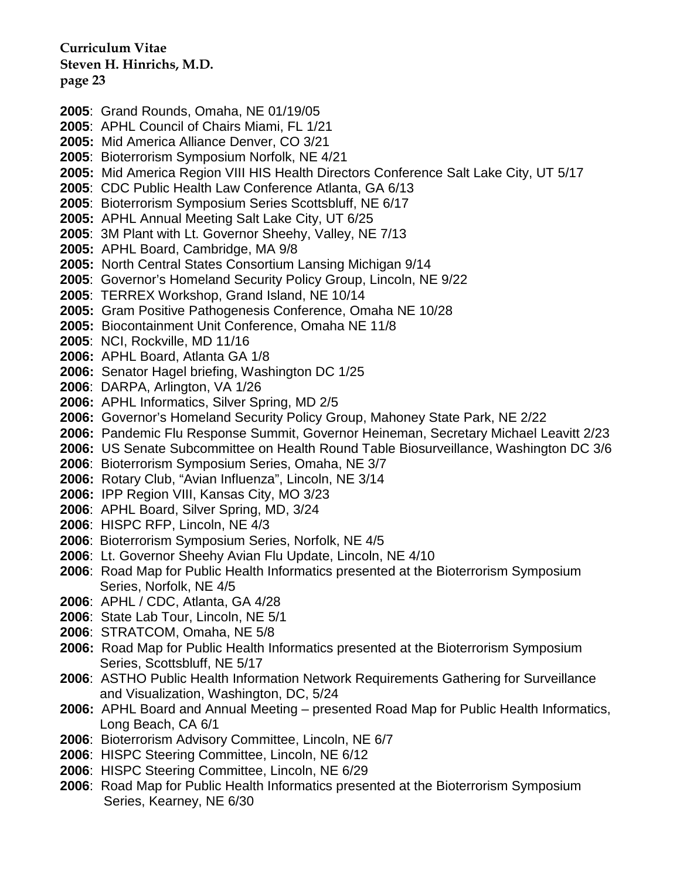- **2005**: Grand Rounds, Omaha, NE 01/19/05
- **2005**: APHL Council of Chairs Miami, FL 1/21
- **2005:** Mid America Alliance Denver, CO 3/21
- **2005**: Bioterrorism Symposium Norfolk, NE 4/21
- **2005:** Mid America Region VIII HIS Health Directors Conference Salt Lake City, UT 5/17
- **2005**: CDC Public Health Law Conference Atlanta, GA 6/13
- **2005**: Bioterrorism Symposium Series Scottsbluff, NE 6/17
- **2005:** APHL Annual Meeting Salt Lake City, UT 6/25
- **2005**: 3M Plant with Lt. Governor Sheehy, Valley, NE 7/13
- **2005:** APHL Board, Cambridge, MA 9/8
- **2005:** North Central States Consortium Lansing Michigan 9/14
- **2005**: Governor's Homeland Security Policy Group, Lincoln, NE 9/22
- **2005**: TERREX Workshop, Grand Island, NE 10/14
- **2005:** Gram Positive Pathogenesis Conference, Omaha NE 10/28
- **2005:** Biocontainment Unit Conference, Omaha NE 11/8
- **2005**: NCI, Rockville, MD 11/16
- **2006:** APHL Board, Atlanta GA 1/8
- **2006:** Senator Hagel briefing, Washington DC 1/25
- **2006**: DARPA, Arlington, VA 1/26
- **2006:** APHL Informatics, Silver Spring, MD 2/5
- **2006:** Governor's Homeland Security Policy Group, Mahoney State Park, NE 2/22
- **2006:** Pandemic Flu Response Summit, Governor Heineman, Secretary Michael Leavitt 2/23
- **2006:** US Senate Subcommittee on Health Round Table Biosurveillance, Washington DC 3/6
- **2006**: Bioterrorism Symposium Series, Omaha, NE 3/7
- **2006:** Rotary Club, "Avian Influenza", Lincoln, NE 3/14
- **2006:** IPP Region VIII, Kansas City, MO 3/23
- **2006**: APHL Board, Silver Spring, MD, 3/24
- **2006**: HISPC RFP, Lincoln, NE 4/3
- **2006**: Bioterrorism Symposium Series, Norfolk, NE 4/5
- **2006**: Lt. Governor Sheehy Avian Flu Update, Lincoln, NE 4/10
- **2006**: Road Map for Public Health Informatics presented at the Bioterrorism Symposium Series, Norfolk, NE 4/5
- **2006**: APHL / CDC, Atlanta, GA 4/28
- **2006**: State Lab Tour, Lincoln, NE 5/1
- **2006**: STRATCOM, Omaha, NE 5/8
- **2006:** Road Map for Public Health Informatics presented at the Bioterrorism Symposium Series, Scottsbluff, NE 5/17
- **2006**: ASTHO Public Health Information Network Requirements Gathering for Surveillance and Visualization, Washington, DC, 5/24
- **2006:** APHL Board and Annual Meeting presented Road Map for Public Health Informatics, Long Beach, CA 6/1
- **2006**: Bioterrorism Advisory Committee, Lincoln, NE 6/7
- **2006**: HISPC Steering Committee, Lincoln, NE 6/12
- **2006**: HISPC Steering Committee, Lincoln, NE 6/29
- **2006**: Road Map for Public Health Informatics presented at the Bioterrorism Symposium Series, Kearney, NE 6/30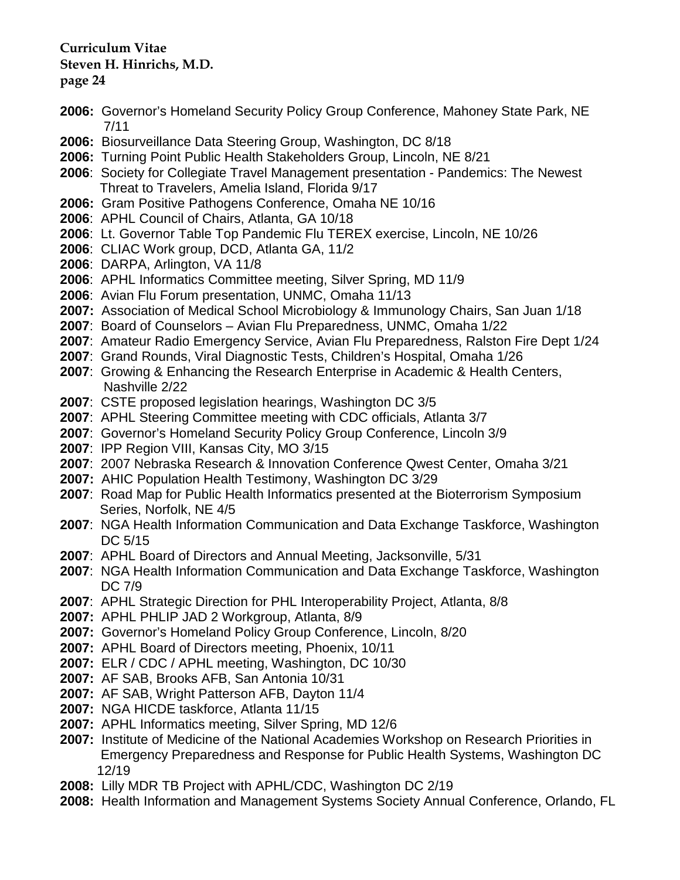- **2006:** Governor's Homeland Security Policy Group Conference, Mahoney State Park, NE 7/11
- **2006:** Biosurveillance Data Steering Group, Washington, DC 8/18
- **2006:** Turning Point Public Health Stakeholders Group, Lincoln, NE 8/21
- **2006**: Society for Collegiate Travel Management presentation Pandemics: The Newest Threat to Travelers, Amelia Island, Florida 9/17
- **2006:** Gram Positive Pathogens Conference, Omaha NE 10/16
- **2006**: APHL Council of Chairs, Atlanta, GA 10/18
- **2006**: Lt. Governor Table Top Pandemic Flu TEREX exercise, Lincoln, NE 10/26
- **2006**: CLIAC Work group, DCD, Atlanta GA, 11/2
- **2006**: DARPA, Arlington, VA 11/8
- **2006**: APHL Informatics Committee meeting, Silver Spring, MD 11/9
- **2006**: Avian Flu Forum presentation, UNMC, Omaha 11/13
- **2007:** Association of Medical School Microbiology & Immunology Chairs, San Juan 1/18
- **2007**: Board of Counselors Avian Flu Preparedness, UNMC, Omaha 1/22
- **2007**: Amateur Radio Emergency Service, Avian Flu Preparedness, Ralston Fire Dept 1/24
- **2007**: Grand Rounds, Viral Diagnostic Tests, Children's Hospital, Omaha 1/26
- **2007**: Growing & Enhancing the Research Enterprise in Academic & Health Centers, Nashville 2/22
- **2007**: CSTE proposed legislation hearings, Washington DC 3/5
- **2007**: APHL Steering Committee meeting with CDC officials, Atlanta 3/7
- **2007**: Governor's Homeland Security Policy Group Conference, Lincoln 3/9
- **2007**: IPP Region VIII, Kansas City, MO 3/15
- **2007**: 2007 Nebraska Research & Innovation Conference Qwest Center, Omaha 3/21
- **2007:** AHIC Population Health Testimony, Washington DC 3/29
- **2007**: Road Map for Public Health Informatics presented at the Bioterrorism Symposium Series, Norfolk, NE 4/5
- **2007**: NGA Health Information Communication and Data Exchange Taskforce, Washington DC 5/15
- **2007**: APHL Board of Directors and Annual Meeting, Jacksonville, 5/31
- **2007**: NGA Health Information Communication and Data Exchange Taskforce, Washington DC 7/9
- **2007**: APHL Strategic Direction for PHL Interoperability Project, Atlanta, 8/8
- **2007:** APHL PHLIP JAD 2 Workgroup, Atlanta, 8/9
- **2007:** Governor's Homeland Policy Group Conference, Lincoln, 8/20
- **2007:** APHL Board of Directors meeting, Phoenix, 10/11
- **2007:** ELR / CDC / APHL meeting, Washington, DC 10/30
- **2007:** AF SAB, Brooks AFB, San Antonia 10/31
- **2007:** AF SAB, Wright Patterson AFB, Dayton 11/4
- **2007:** NGA HICDE taskforce, Atlanta 11/15
- **2007:** APHL Informatics meeting, Silver Spring, MD 12/6
- **2007:** Institute of Medicine of the National Academies Workshop on Research Priorities in Emergency Preparedness and Response for Public Health Systems, Washington DC 12/19
- **2008:** Lilly MDR TB Project with APHL/CDC, Washington DC 2/19
- **2008:** Health Information and Management Systems Society Annual Conference, Orlando, FL